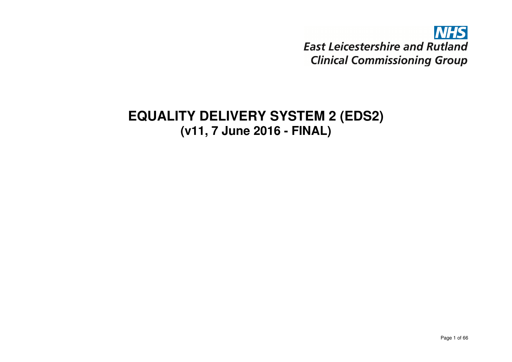# **NHS East Leicestershire and Rutland Clinical Commissioning Group**

# **EQUALITY DELIVERY SYSTEM 2 (EDS2) (v11, 7 June 2016 - FINAL)**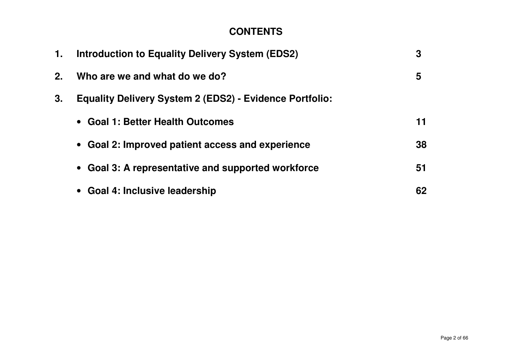### **CONTENTS**

| 1. | <b>Introduction to Equality Delivery System (EDS2)</b>         | 3  |
|----|----------------------------------------------------------------|----|
| 2. | Who are we and what do we do?                                  | 5  |
| 3. | <b>Equality Delivery System 2 (EDS2) - Evidence Portfolio:</b> |    |
|    | • Goal 1: Better Health Outcomes                               | 11 |
|    | • Goal 2: Improved patient access and experience               | 38 |
|    | • Goal 3: A representative and supported workforce             | 51 |
|    | • Goal 4: Inclusive leadership                                 | 62 |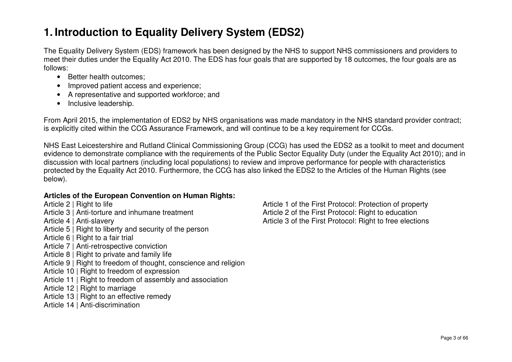## **1. Introduction to Equality Delivery System (EDS2)**

The Equality Delivery System (EDS) framework has been designed by the NHS to support NHS commissioners and providers to meet their duties under the Equality Act 2010. The EDS has four goals that are supported by 18 outcomes, the four goals are as follows:

- Better health outcomes;
- Improved patient access and experience;
- A representative and supported workforce; and
- Inclusive leadership.

From April 2015, the implementation of EDS2 by NHS organisations was made mandatory in the NHS standard provider contract; is explicitly cited within the CCG Assurance Framework, and will continue to be a key requirement for CCGs.

NHS East Leicestershire and Rutland Clinical Commissioning Group (CCG) has used the EDS2 as a toolkit to meet and document evidence to demonstrate compliance with the requirements of the Public Sector Equality Duty (under the Equality Act 2010); and in discussion with local partners (including local populations) to review and improve performance for people with characteristics protected by the Equality Act 2010. Furthermore, the CCG has also linked the EDS2 to the Articles of the Human Rights (see below).

### **Articles of the European Convention on Human Rights:**

Article 2 | Right to life Article 1 of the First Protocol: Protection of property Article 3 | Anti-torture and inhumane treatment Article 2 of the First Protocol: Right to education Article 4 | Anti-slavery Article 3 of the First Protocol: Right to free elections Article 5 | Right to liberty and security of the person Article 6 | Right to a fair trial Article 7 | Anti-retrospective conviction Article 8 | Right to private and family life Article 9 | Right to freedom of thought, conscience and religion Article 10 | Right to freedom of expression Article 11 | Right to freedom of assembly and association Article 12 | Right to marriage Article 13 | Right to an effective remedy Article 14 | Anti-discrimination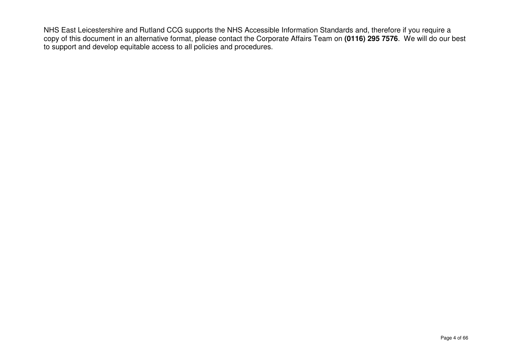NHS East Leicestershire and Rutland CCG supports the NHS Accessible Information Standards and, therefore if you require a copy of this document in an alternative format, please contact the Corporate Affairs Team on **(0116) 295 7576**. We will do our best to support and develop equitable access to all policies and procedures.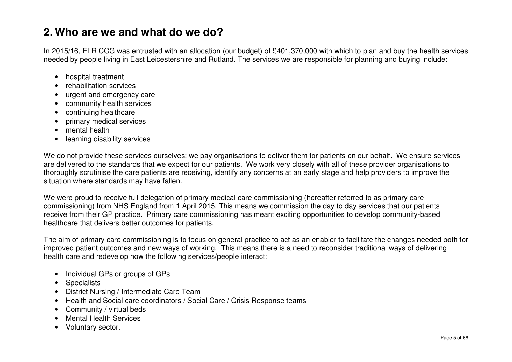## **2. Who are we and what do we do?**

In 2015/16, ELR CCG was entrusted with an allocation (our budget) of £401,370,000 with which to plan and buy the health services needed by people living in East Leicestershire and Rutland. The services we are responsible for planning and buying include:

- hospital treatment
- rehabilitation services
- urgent and emergency care
- community health services
- continuing healthcare
- primary medical services
- mental health
- learning disability services

We do not provide these services ourselves; we pay organisations to deliver them for patients on our behalf. We ensure services are delivered to the standards that we expect for our patients. We work very closely with all of these provider organisations to thoroughly scrutinise the care patients are receiving, identify any concerns at an early stage and help providers to improve the situation where standards may have fallen.

We were proud to receive full delegation of primary medical care commissioning (hereafter referred to as primary care commissioning) from NHS England from 1 April 2015. This means we commission the day to day services that our patients receive from their GP practice. Primary care commissioning has meant exciting opportunities to develop community-based healthcare that delivers better outcomes for patients.

The aim of primary care commissioning is to focus on general practice to act as an enabler to facilitate the changes needed both for improved patient outcomes and new ways of working. This means there is a need to reconsider traditional ways of delivering health care and redevelop how the following services/people interact:

- Individual GPs or groups of GPs
- Specialists
- District Nursing / Intermediate Care Team
- Health and Social care coordinators / Social Care / Crisis Response teams
- Community / virtual beds
- Mental Health Services
- Voluntary sector.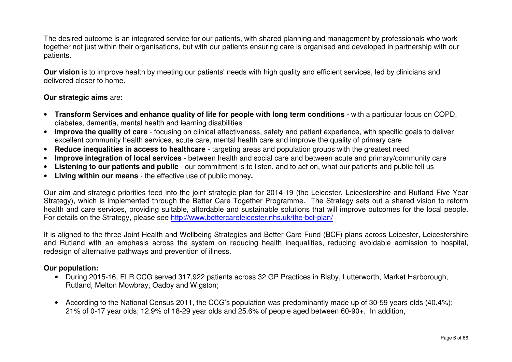The desired outcome is an integrated service for our patients, with shared planning and management by professionals who work together not just within their organisations, but with our patients ensuring care is organised and developed in partnership with our patients.

**Our vision** is to improve health by meeting our patients' needs with high quality and efficient services, led by clinicians and delivered closer to home.

#### **Our strategic aims** are:

- **Transform Services and enhance quality of life for people with long term conditions**  with a particular focus on COPD, diabetes, dementia, mental health and learning disabilities
- **Improve the quality of care**  focusing on clinical effectiveness, safety and patient experience, with specific goals to deliver excellent community health services, acute care, mental health care and improve the quality of primary care
- **Reduce inequalities in access to healthcare**  targeting areas and population groups with the greatest need
- •**Improve integration of local services** - between health and social care and between acute and primary/community care
- **Listening to our patients and public**  our commitment is to listen, and to act on, what our patients and public tell us
- **Living within our means**  the effective use of public money**.**

Our aim and strategic priorities feed into the joint strategic plan for 2014-19 (the Leicester, Leicestershire and Rutland Five Year Strategy), which is implemented through the Better Care Together Programme. The Strategy sets out a shared vision to reform health and care services, providing suitable, affordable and sustainable solutions that will improve outcomes for the local people. For details on the Strategy, please see http://www.bettercareleicester.nhs.uk/the-bct-plan/

It is aligned to the three Joint Health and Wellbeing Strategies and Better Care Fund (BCF) plans across Leicester, Leicestershire and Rutland with an emphasis across the system on reducing health inequalities, reducing avoidable admission to hospital, redesign of alternative pathways and prevention of illness.

#### **Our population:**

- During 2015-16, ELR CCG served 317,922 patients across 32 GP Practices in Blaby, Lutterworth, Market Harborough, Rutland, Melton Mowbray, Oadby and Wigston;
- According to the National Census 2011, the CCG's population was predominantly made up of 30-59 years olds (40.4%); 21% of 0-17 year olds; 12.9% of 18-29 year olds and 25.6% of people aged between 60-90+. In addition,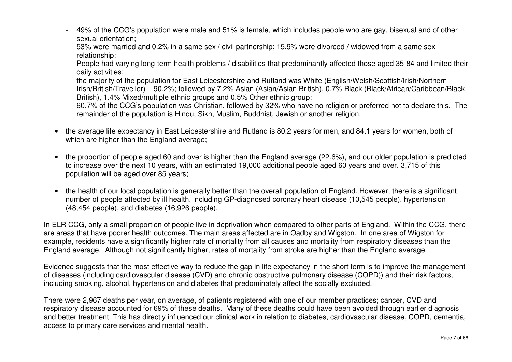- 49% of the CCG's population were male and 51% is female, which includes people who are gay, bisexual and of other sexual orientation;
- 53% were married and 0.2% in a same sex / civil partnership; 15.9% were divorced / widowed from a same sex relationship;
- People had varying long-term health problems / disabilities that predominantly affected those aged 35-84 and limited their daily activities;
- the majority of the population for East Leicestershire and Rutland was White (English/Welsh/Scottish/Irish/Northern Irish/British/Traveller) – 90.2%; followed by 7.2% Asian (Asian/Asian British), 0.7% Black (Black/African/Caribbean/Black British), 1.4% Mixed/multiple ethnic groups and 0.5% Other ethnic group;
- 60.7% of the CCG's population was Christian, followed by 32% who have no religion or preferred not to declare this. The remainder of the population is Hindu, Sikh, Muslim, Buddhist, Jewish or another religion.
- the average life expectancy in East Leicestershire and Rutland is 80.2 years for men, and 84.1 years for women, both of which are higher than the England average;
- the proportion of people aged 60 and over is higher than the England average (22.6%), and our older population is predicted to increase over the next 10 years, with an estimated 19,000 additional people aged 60 years and over. 3,715 of this population will be aged over 85 years;
- the health of our local population is generally better than the overall population of England. However, there is a significant number of people affected by ill health, including GP-diagnosed coronary heart disease (10,545 people), hypertension (48,454 people), and diabetes (16,926 people).

In ELR CCG, only a small proportion of people live in deprivation when compared to other parts of England. Within the CCG, there are areas that have poorer health outcomes. The main areas affected are in Oadby and Wigston. In one area of Wigston for example, residents have a significantly higher rate of mortality from all causes and mortality from respiratory diseases than the England average. Although not significantly higher, rates of mortality from stroke are higher than the England average.

Evidence suggests that the most effective way to reduce the gap in life expectancy in the short term is to improve the management of diseases (including cardiovascular disease (CVD) and chronic obstructive pulmonary disease (COPD)) and their risk factors, including smoking, alcohol, hypertension and diabetes that predominately affect the socially excluded.

There were 2,967 deaths per year, on average, of patients registered with one of our member practices; cancer, CVD and respiratory disease accounted for 69% of these deaths. Many of these deaths could have been avoided through earlier diagnosis and better treatment. This has directly influenced our clinical work in relation to diabetes, cardiovascular disease, COPD, dementia, access to primary care services and mental health.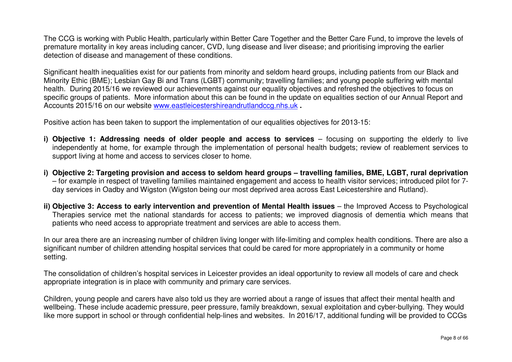The CCG is working with Public Health, particularly within Better Care Together and the Better Care Fund, to improve the levels of premature mortality in key areas including cancer, CVD, lung disease and liver disease; and prioritising improving the earlier detection of disease and management of these conditions.

Significant health inequalities exist for our patients from minority and seldom heard groups, including patients from our Black and Minority Ethic (BME); Lesbian Gay Bi and Trans (LGBT) community; travelling families; and young people suffering with mental health. During 2015/16 we reviewed our achievements against our equality objectives and refreshed the objectives to focus on specific groups of patients. More information about this can be found in the update on equalities section of our Annual Report and Accounts 2015/16 on our website www.eastleicestershireandrutlandccg.nhs.uk **.** 

Positive action has been taken to support the implementation of our equalities objectives for 2013-15:

- **i) Objective 1: Addressing needs of older people and access to services** focusing on supporting the elderly to live independently at home, for example through the implementation of personal health budgets; review of reablement services to support living at home and access to services closer to home.
- **i) Objective 2: Targeting provision and access to seldom heard groups travelling families, BME, LGBT, rural deprivation** – for example in respect of travelling families maintained engagement and access to health visitor services; introduced pilot for 7day services in Oadby and Wigston (Wigston being our most deprived area across East Leicestershire and Rutland).
- **ii) Objective 3: Access to early intervention and prevention of Mental Health issues** the Improved Access to Psychological Therapies service met the national standards for access to patients; we improved diagnosis of dementia which means that patients who need access to appropriate treatment and services are able to access them.

In our area there are an increasing number of children living longer with life-limiting and complex health conditions. There are also a significant number of children attending hospital services that could be cared for more appropriately in a community or home setting.

The consolidation of children's hospital services in Leicester provides an ideal opportunity to review all models of care and check appropriate integration is in place with community and primary care services.

Children, young people and carers have also told us they are worried about a range of issues that affect their mental health and wellbeing. These include academic pressure, peer pressure, family breakdown, sexual exploitation and cyber-bullying. They would like more support in school or through confidential help-lines and websites. In 2016/17, additional funding will be provided to CCGs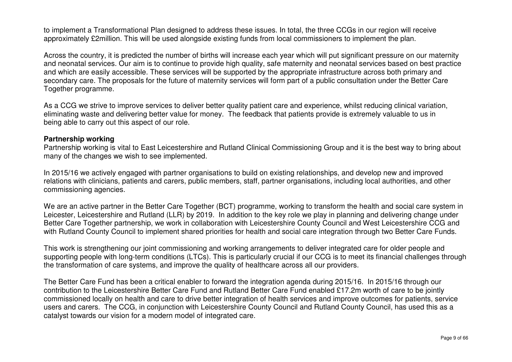to implement a Transformational Plan designed to address these issues. In total, the three CCGs in our region will receive approximately £2million. This will be used alongside existing funds from local commissioners to implement the plan.

Across the country, it is predicted the number of births will increase each year which will put significant pressure on our maternity and neonatal services. Our aim is to continue to provide high quality, safe maternity and neonatal services based on best practice and which are easily accessible. These services will be supported by the appropriate infrastructure across both primary and secondary care. The proposals for the future of maternity services will form part of a public consultation under the Better Care Together programme.

As a CCG we strive to improve services to deliver better quality patient care and experience, whilst reducing clinical variation, eliminating waste and delivering better value for money. The feedback that patients provide is extremely valuable to us in being able to carry out this aspect of our role.

#### **Partnership working**

 Partnership working is vital to East Leicestershire and Rutland Clinical Commissioning Group and it is the best way to bring about many of the changes we wish to see implemented.

In 2015/16 we actively engaged with partner organisations to build on existing relationships, and develop new and improved relations with clinicians, patients and carers, public members, staff, partner organisations, including local authorities, and other commissioning agencies.

We are an active partner in the Better Care Together (BCT) programme, working to transform the health and social care system in Leicester, Leicestershire and Rutland (LLR) by 2019. In addition to the key role we play in planning and delivering change under Better Care Together partnership, we work in collaboration with Leicestershire County Council and West Leicestershire CCG and with Rutland County Council to implement shared priorities for health and social care integration through two Better Care Funds.

This work is strengthening our joint commissioning and working arrangements to deliver integrated care for older people and supporting people with long-term conditions (LTCs). This is particularly crucial if our CCG is to meet its financial challenges through the transformation of care systems, and improve the quality of healthcare across all our providers.

The Better Care Fund has been a critical enabler to forward the integration agenda during 2015/16. In 2015/16 through our contribution to the Leicestershire Better Care Fund and Rutland Better Care Fund enabled £17.2m worth of care to be jointly commissioned locally on health and care to drive better integration of health services and improve outcomes for patients, service users and carers. The CCG, in conjunction with Leicestershire County Council and Rutland County Council, has used this as a catalyst towards our vision for a modern model of integrated care.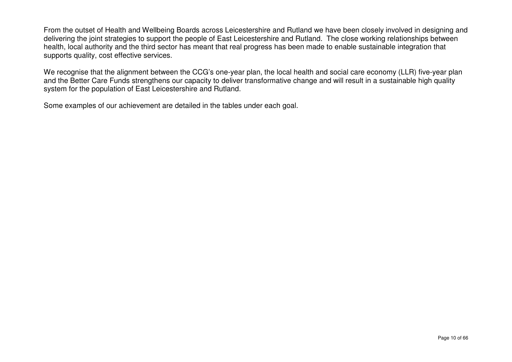From the outset of Health and Wellbeing Boards across Leicestershire and Rutland we have been closely involved in designing and delivering the joint strategies to support the people of East Leicestershire and Rutland. The close working relationships between health, local authority and the third sector has meant that real progress has been made to enable sustainable integration that supports quality, cost effective services.

We recognise that the alignment between the CCG's one-year plan, the local health and social care economy (LLR) five-year plan and the Better Care Funds strengthens our capacity to deliver transformative change and will result in a sustainable high quality system for the population of East Leicestershire and Rutland.

Some examples of our achievement are detailed in the tables under each goal.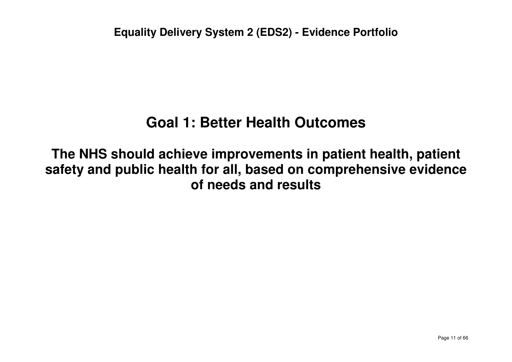# **Goal 1: Better Health Outcomes**

**The NHS should achieve improvements in patient health, patient safety and public health for all, based on comprehensive evidence of needs and results**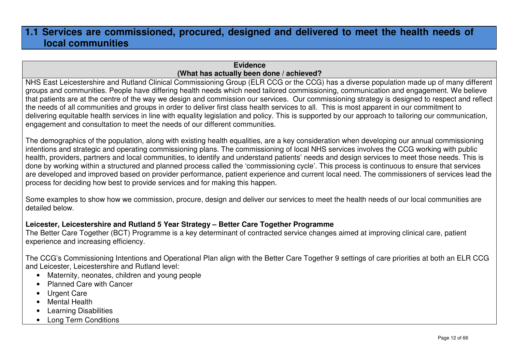### **1.1 Services are commissioned, procured, designed and delivered to meet the health needs of local communities**

### **Evidence(What has actually been done / achieved?**

 NHS East Leicestershire and Rutland Clinical Commissioning Group (ELR CCG or the CCG) has a diverse population made up of many different groups and communities. People have differing health needs which need tailored commissioning, communication and engagement. We believe that patients are at the centre of the way we design and commission our services. Our commissioning strategy is designed to respect and reflect the needs of all communities and groups in order to deliver first class health services to all. This is most apparent in our commitment to delivering equitable health services in line with equality legislation and policy. This is supported by our approach to tailoring our communication, engagement and consultation to meet the needs of our different communities.

The demographics of the population, along with existing health equalities, are a key consideration when developing our annual commissioning intentions and strategic and operating commissioning plans. The commissioning of local NHS services involves the CCG working with public health, providers, partners and local communities, to identify and understand patients' needs and design services to meet those needs. This is done by working within a structured and planned process called the 'commissioning cycle'. This process is continuous to ensure that services are developed and improved based on provider performance, patient experience and current local need. The commissioners of services lead the process for deciding how best to provide services and for making this happen.

Some examples to show how we commission, procure, design and deliver our services to meet the health needs of our local communities are detailed below.

### **Leicester, Leicestershire and Rutland 5 Year Strategy – Better Care Together Programme**

 The Better Care Together (BCT) Programme is a key determinant of contracted service changes aimed at improving clinical care, patient experience and increasing efficiency.

The CCG's Commissioning Intentions and Operational Plan align with the Better Care Together 9 settings of care priorities at both an ELR CCG and Leicester, Leicestershire and Rutland level:

- Maternity, neonates, children and young people
- Planned Care with Cancer
- Urgent Care
- Mental Health
- Learning Disabilities
- Long Term Conditions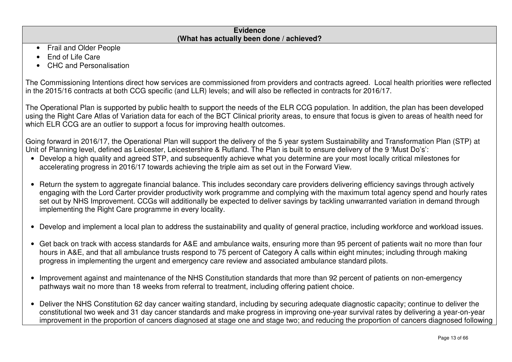| <b>Evidence</b>                           |  |
|-------------------------------------------|--|
| (What has actually been done / achieved?) |  |
| Fuell and Olden Desirle                   |  |

- Frail and Older People
- End of Life Care
- CHC and Personalisation

The Commissioning Intentions direct how services are commissioned from providers and contracts agreed. Local health priorities were reflected in the 2015/16 contracts at both CCG specific (and LLR) levels; and will also be reflected in contracts for 2016/17.

The Operational Plan is supported by public health to support the needs of the ELR CCG population. In addition, the plan has been developed using the Right Care Atlas of Variation data for each of the BCT Clinical priority areas, to ensure that focus is given to areas of health need for which ELR CCG are an outlier to support a focus for improving health outcomes.

Going forward in 2016/17, the Operational Plan will support the delivery of the 5 year system Sustainability and Transformation Plan (STP) at Unit of Planning level, defined as Leicester, Leicestershire & Rutland. The Plan is built to ensure delivery of the 9 'Must Do's':

- Develop a high quality and agreed STP, and subsequently achieve what you determine are your most locally critical milestones for accelerating progress in 2016/17 towards achieving the triple aim as set out in the Forward View.
- Return the system to aggregate financial balance. This includes secondary care providers delivering efficiency savings through actively engaging with the Lord Carter provider productivity work programme and complying with the maximum total agency spend and hourly rates set out by NHS Improvement. CCGs will additionally be expected to deliver savings by tackling unwarranted variation in demand through implementing the Right Care programme in every locality.
- Develop and implement a local plan to address the sustainability and quality of general practice, including workforce and workload issues.
- Get back on track with access standards for A&E and ambulance waits, ensuring more than 95 percent of patients wait no more than four hours in A&E, and that all ambulance trusts respond to 75 percent of Category A calls within eight minutes; including through making progress in implementing the urgent and emergency care review and associated ambulance standard pilots.
- Improvement against and maintenance of the NHS Constitution standards that more than 92 percent of patients on non-emergency pathways wait no more than 18 weeks from referral to treatment, including offering patient choice.
- Deliver the NHS Constitution 62 day cancer waiting standard, including by securing adequate diagnostic capacity; continue to deliver the constitutional two week and 31 day cancer standards and make progress in improving one-year survival rates by delivering a year-on-year improvement in the proportion of cancers diagnosed at stage one and stage two; and reducing the proportion of cancers diagnosed following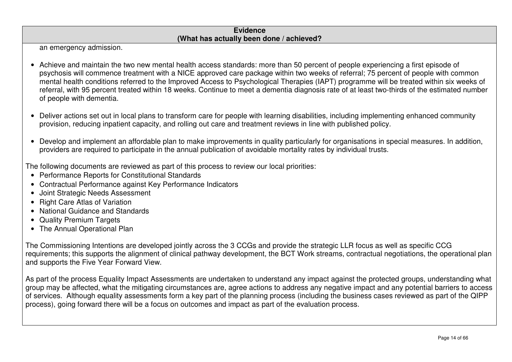an emergency admission.

- Achieve and maintain the two new mental health access standards: more than 50 percent of people experiencing a first episode of psychosis will commence treatment with a NICE approved care package within two weeks of referral; 75 percent of people with common mental health conditions referred to the Improved Access to Psychological Therapies (IAPT) programme will be treated within six weeks of referral, with 95 percent treated within 18 weeks. Continue to meet a dementia diagnosis rate of at least two-thirds of the estimated number of people with dementia.
- Deliver actions set out in local plans to transform care for people with learning disabilities, including implementing enhanced community provision, reducing inpatient capacity, and rolling out care and treatment reviews in line with published policy.
- Develop and implement an affordable plan to make improvements in quality particularly for organisations in special measures. In addition, providers are required to participate in the annual publication of avoidable mortality rates by individual trusts.

The following documents are reviewed as part of this process to review our local priorities:

- Performance Reports for Constitutional Standards
- Contractual Performance against Key Performance Indicators
- Joint Strategic Needs Assessment
- Right Care Atlas of Variation
- National Guidance and Standards
- Quality Premium Targets
- The Annual Operational Plan

The Commissioning Intentions are developed jointly across the 3 CCGs and provide the strategic LLR focus as well as specific CCG requirements; this supports the alignment of clinical pathway development, the BCT Work streams, contractual negotiations, the operational plan and supports the Five Year Forward View.

As part of the process Equality Impact Assessments are undertaken to understand any impact against the protected groups, understanding what group may be affected, what the mitigating circumstances are, agree actions to address any negative impact and any potential barriers to access of services. Although equality assessments form a key part of the planning process (including the business cases reviewed as part of the QIPP process), going forward there will be a focus on outcomes and impact as part of the evaluation process.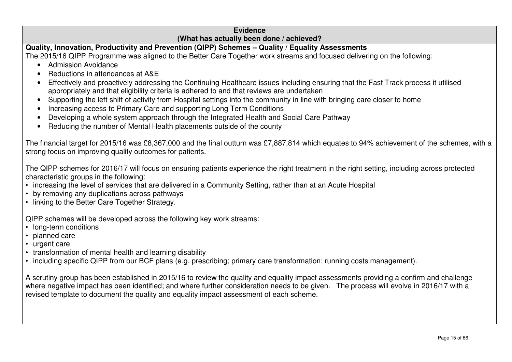**Quality, Innovation, Productivity and Prevention (QIPP) Schemes – Quality / Equality Assessments**

The 2015/16 QIPP Programme was aligned to the Better Care Together work streams and focused delivering on the following:

- Admission Avoidance
- Reductions in attendances at A&E
- Effectively and proactively addressing the Continuing Healthcare issues including ensuring that the Fast Track process it utilised appropriately and that eligibility criteria is adhered to and that reviews are undertaken
- Supporting the left shift of activity from Hospital settings into the community in line with bringing care closer to home
- Increasing access to Primary Care and supporting Long Term Conditions
- Developing a whole system approach through the Integrated Health and Social Care Pathway
- Reducing the number of Mental Health placements outside of the county

The financial target for 2015/16 was £8,367,000 and the final outturn was £7,887,814 which equates to 94% achievement of the schemes, with a strong focus on improving quality outcomes for patients.

The QIPP schemes for 2016/17 will focus on ensuring patients experience the right treatment in the right setting, including across protected characteristic groups in the following:

- increasing the level of services that are delivered in a Community Setting, rather than at an Acute Hospital
- by removing any duplications across pathways
- linking to the Better Care Together Strategy.

QIPP schemes will be developed across the following key work streams:

- long-term conditions
- planned care
- urgent care
- transformation of mental health and learning disability
- including specific QIPP from our BCF plans (e.g. prescribing; primary care transformation; running costs management).

A scrutiny group has been established in 2015/16 to review the quality and equality impact assessments providing a confirm and challenge where negative impact has been identified; and where further consideration needs to be given. The process will evolve in 2016/17 with a revised template to document the quality and equality impact assessment of each scheme.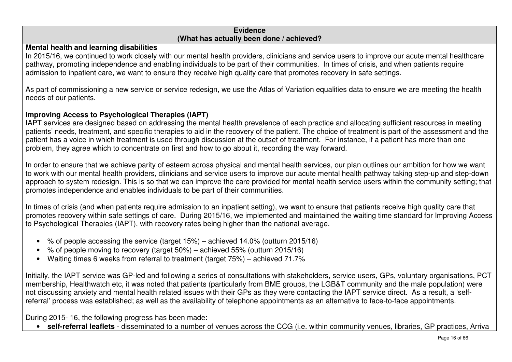### **Mental health and learning disabilities**

 In 2015/16, we continued to work closely with our mental health providers, clinicians and service users to improve our acute mental healthcare pathway, promoting independence and enabling individuals to be part of their communities. In times of crisis, and when patients require admission to inpatient care, we want to ensure they receive high quality care that promotes recovery in safe settings.

As part of commissioning a new service or service redesign, we use the Atlas of Variation equalities data to ensure we are meeting the health needs of our patients.

### **Improving Access to Psychological Therapies (IAPT)**

 IAPT services are designed based on addressing the mental health prevalence of each practice and allocating sufficient resources in meeting patients' needs, treatment, and specific therapies to aid in the recovery of the patient. The choice of treatment is part of the assessment and the patient has a voice in which treatment is used through discussion at the outset of treatment. For instance, if a patient has more than one problem, they agree which to concentrate on first and how to go about it, recording the way forward.

In order to ensure that we achieve parity of esteem across physical and mental health services, our plan outlines our ambition for how we want to work with our mental health providers, clinicians and service users to improve our acute mental health pathway taking step-up and step-down approach to system redesign. This is so that we can improve the care provided for mental health service users within the community setting; that promotes independence and enables individuals to be part of their communities.

In times of crisis (and when patients require admission to an inpatient setting), we want to ensure that patients receive high quality care that promotes recovery within safe settings of care. During 2015/16, we implemented and maintained the waiting time standard for Improving Access to Psychological Therapies (IAPT), with recovery rates being higher than the national average.

- % of people accessing the service (target 15%) achieved 14.0% (outturn 2015/16)
- % of people moving to recovery (target  $50\%$ ) achieved  $55\%$  (outturn 2015/16)
- Waiting times 6 weeks from referral to treatment (target 75%) achieved 71.7%

Initially, the IAPT service was GP-led and following a series of consultations with stakeholders, service users, GPs, voluntary organisations, PCT membership, Healthwatch etc, it was noted that patients (particularly from BME groups, the LGB&T community and the male population) were not discussing anxiety and mental health related issues with their GPs as they were contacting the IAPT service direct. As a result, a 'selfreferral' process was established; as well as the availability of telephone appointments as an alternative to face-to-face appointments.

During 2015- 16, the following progress has been made:

• **self-referral leaflets** - disseminated to a number of venues across the CCG (i.e. within community venues, libraries, GP practices, Arriva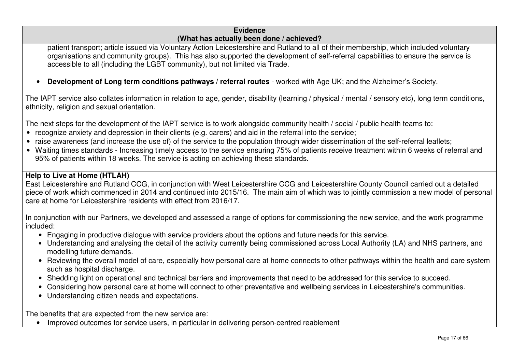patient transport; article issued via Voluntary Action Leicestershire and Rutland to all of their membership, which included voluntary organisations and community groups). This has also supported the development of self-referral capabilities to ensure the service is accessible to all (including the LGBT community), but not limited via Trade.

• **Development of Long term conditions pathways / referral routes** - worked with Age UK; and the Alzheimer's Society.

The IAPT service also collates information in relation to age, gender, disability (learning / physical / mental / sensory etc), long term conditions, ethnicity, religion and sexual orientation.

The next steps for the development of the IAPT service is to work alongside community health / social / public health teams to:

- recognize anxiety and depression in their clients (e.g. carers) and aid in the referral into the service;
- raise awareness (and increase the use of) of the service to the population through wider dissemination of the self-referral leaflets;
- Waiting times standards Increasing timely access to the service ensuring 75% of patients receive treatment within 6 weeks of referral and 95% of patients within 18 weeks. The service is acting on achieving these standards.

### **Help to Live at Home (HTLAH)**

 East Leicestershire and Rutland CCG, in conjunction with West Leicestershire CCG and Leicestershire County Council carried out a detailed piece of work which commenced in 2014 and continued into 2015/16. The main aim of which was to jointly commission a new model of personal care at home for Leicestershire residents with effect from 2016/17.

In conjunction with our Partners, we developed and assessed a range of options for commissioning the new service, and the work programme included:

- Engaging in productive dialogue with service providers about the options and future needs for this service.
- Understanding and analysing the detail of the activity currently being commissioned across Local Authority (LA) and NHS partners, and modelling future demands.
- Reviewing the overall model of care, especially how personal care at home connects to other pathways within the health and care system such as hospital discharge.
- Shedding light on operational and technical barriers and improvements that need to be addressed for this service to succeed.
- Considering how personal care at home will connect to other preventative and wellbeing services in Leicestershire's communities.
- Understanding citizen needs and expectations.

The benefits that are expected from the new service are:

• Improved outcomes for service users, in particular in delivering person-centred reablement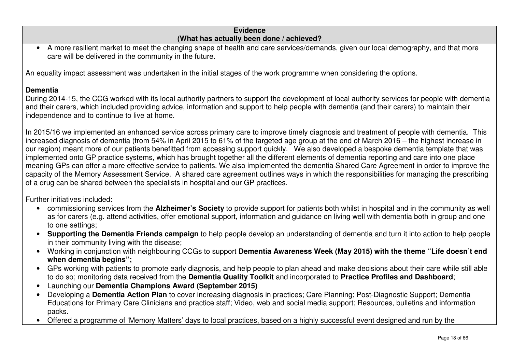• A more resilient market to meet the changing shape of health and care services/demands, given our local demography, and that more care will be delivered in the community in the future.

An equality impact assessment was undertaken in the initial stages of the work programme when considering the options.

#### **Dementia**

 During 2014-15, the CCG worked with its local authority partners to support the development of local authority services for people with dementia and their carers, which included providing advice, information and support to help people with dementia (and their carers) to maintain their independence and to continue to live at home.

In 2015/16 we implemented an enhanced service across primary care to improve timely diagnosis and treatment of people with dementia. This increased diagnosis of dementia (from 54% in April 2015 to 61% of the targeted age group at the end of March 2016 – the highest increase in our region) meant more of our patients benefitted from accessing support quickly. We also developed a bespoke dementia template that was implemented onto GP practice systems, which has brought together all the different elements of dementia reporting and care into one place meaning GPs can offer a more effective service to patients. We also implemented the dementia Shared Care Agreement in order to improve the capacity of the Memory Assessment Service. A shared care agreement outlines ways in which the responsibilities for managing the prescribing of a drug can be shared between the specialists in hospital and our GP practices.

Further initiatives included:

- commissioning services from the **Alzheimer's Society** to provide support for patients both whilst in hospital and in the community as well as for carers (e.g. attend activities, offer emotional support, information and guidance on living well with dementia both in group and one to one settings;
- **Supporting the Dementia Friends campaign** to help people develop an understanding of dementia and turn it into action to help people in their community living with the disease;
- Working in conjunction with neighbouring CCGs to support **Dementia Awareness Week (May 2015) with the theme "Life doesn't end when dementia begins";**
- GPs working with patients to promote early diagnosis, and help people to plan ahead and make decisions about their care while still able to do so; monitoring data received from the **Dementia Quality Toolkit** and incorporated to **Practice Profiles and Dashboard**;
- Launching our **Dementia Champions Award (September 2015)**
- Developing a **Dementia Action Plan** to cover increasing diagnosis in practices; Care Planning; Post-Diagnostic Support; Dementia Educations for Primary Care Clinicians and practice staff; Video, web and social media support; Resources, bulletins and information packs.
- Offered a programme of 'Memory Matters' days to local practices, based on a highly successful event designed and run by the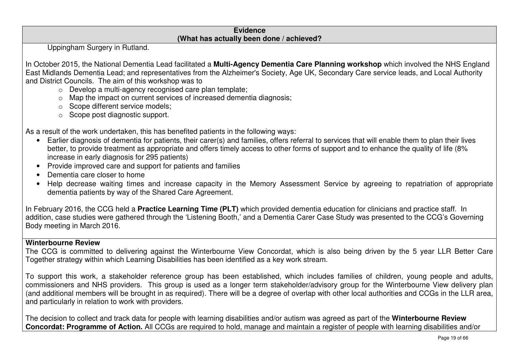Uppingham Surgery in Rutland.

In October 2015, the National Dementia Lead facilitated a **Multi-Agency Dementia Care Planning workshop** which involved the NHS England East Midlands Dementia Lead; and representatives from the Alzheimer's Society, Age UK, Secondary Care service leads, and Local Authority and District Councils. The aim of this workshop was to

- o Develop a multi-agency recognised care plan template;
- $\circ$  Map the impact on current services of increased dementia diagnosis;
- o Scope different service models;
- o Scope post diagnostic support.

As a result of the work undertaken, this has benefited patients in the following ways:

- Earlier diagnosis of dementia for patients, their carer(s) and families, offers referral to services that will enable them to plan their lives better, to provide treatment as appropriate and offers timely access to other forms of support and to enhance the quality of life (8% increase in early diagnosis for 295 patients)
- Provide improved care and support for patients and families
- Dementia care closer to home
- Help decrease waiting times and increase capacity in the Memory Assessment Service by agreeing to repatriation of appropriate dementia patients by way of the Shared Care Agreement.

In February 2016, the CCG held a **Practice Learning Time (PLT)** which provided dementia education for clinicians and practice staff. In addition, case studies were gathered through the 'Listening Booth,' and a Dementia Carer Case Study was presented to the CCG's Governing Body meeting in March 2016.

### **Winterbourne Review**

 The CCG is committed to delivering against the Winterbourne View Concordat, which is also being driven by the 5 year LLR Better Care Together strategy within which Learning Disabilities has been identified as a key work stream.

To support this work, a stakeholder reference group has been established, which includes families of children, young people and adults, commissioners and NHS providers. This group is used as a longer term stakeholder/advisory group for the Winterbourne View delivery plan (and additional members will be brought in as required). There will be a degree of overlap with other local authorities and CCGs in the LLR area, and particularly in relation to work with providers.

The decision to collect and track data for people with learning disabilities and/or autism was agreed as part of the **Winterbourne Review Concordat: Programme of Action.** All CCGs are required to hold, manage and maintain a register of people with learning disabilities and/or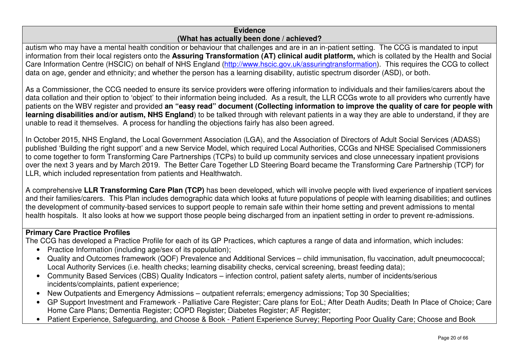autism who may have a mental health condition or behaviour that challenges and are in an in-patient setting. The CCG is mandated to input information from their local registers onto the **Assuring Transformation (AT) clinical audit platform,** which is collated by the Health and Social Care Information Centre (HSCIC) on behalf of NHS England (http://www.hscic.gov.uk/assuringtransformation). This requires the CCG to collect data on age, gender and ethnicity; and whether the person has a learning disability, autistic spectrum disorder (ASD), or both.

As a Commissioner, the CCG needed to ensure its service providers were offering information to individuals and their families/carers about the data collation and their option to 'object' to their information being included. As a result, the LLR CCGs wrote to all providers who currently have patients on the WBV register and provided **an "easy read" document (Collecting information to improve the quality of care for people with learning disabilities and/or autism, NHS England**) to be talked through with relevant patients in a way they are able to understand, if they are unable to read it themselves. A process for handling the objections fairly has also been agreed.

In October 2015, NHS England, the Local Government Association (LGA), and the Association of Directors of Adult Social Services (ADASS) published 'Building the right support' and a new Service Model, which required Local Authorities, CCGs and NHSE Specialised Commissioners to come together to form Transforming Care Partnerships (TCPs) to build up community services and close unnecessary inpatient provisions over the next 3 years and by March 2019. The Better Care Together LD Steering Board became the Transforming Care Partnership (TCP) for LLR, which included representation from patients and Healthwatch.

A comprehensive **LLR Transforming Care Plan (TCP)** has been developed, which will involve people with lived experience of inpatient services and their families/carers. This Plan includes demographic data which looks at future populations of people with learning disabilities; and outlines the development of community-based services to support people to remain safe within their home setting and prevent admissions to mental health hospitals. It also looks at how we support those people being discharged from an inpatient setting in order to prevent re-admissions.

### **Primary Care Practice Profiles**

The CCG has developed a Practice Profile for each of its GP Practices, which captures a range of data and information, which includes:

- Practice Information (including age/sex of its population);
- Quality and Outcomes framework (QOF) Prevalence and Additional Services child immunisation, flu vaccination, adult pneumococcal; Local Authority Services (i.e. health checks; learning disability checks, cervical screening, breast feeding data);
- Community Based Services (CBS) Quality Indicators infection control, patient safety alerts, number of incidents/serious incidents/complaints, patient experience;
- New Outpatients and Emergency Admissions outpatient referrals; emergency admissions; Top 30 Specialities;
- GP Support Investment and Framework Palliative Care Register; Care plans for EoL; After Death Audits; Death In Place of Choice; Care Home Care Plans; Dementia Register; COPD Register; Diabetes Register; AF Register;
- Patient Experience, Safeguarding, and Choose & Book Patient Experience Survey; Reporting Poor Quality Care; Choose and Book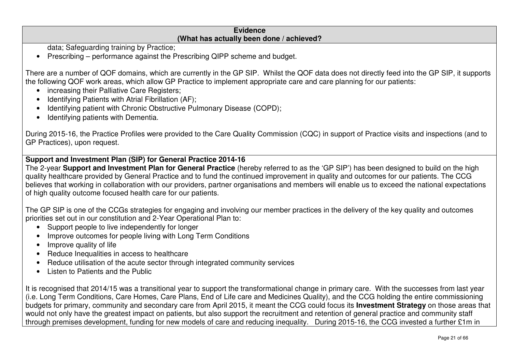data; Safeguarding training by Practice;

• Prescribing – performance against the Prescribing QIPP scheme and budget.

There are a number of QOF domains, which are currently in the GP SIP. Whilst the QOF data does not directly feed into the GP SIP, it supports the following QOF work areas, which allow GP Practice to implement appropriate care and care planning for our patients:

- increasing their Palliative Care Registers;
- Identifying Patients with Atrial Fibrillation (AF);
- Identifying patient with Chronic Obstructive Pulmonary Disease (COPD);
- Identifying patients with Dementia.

During 2015-16, the Practice Profiles were provided to the Care Quality Commission (CQC) in support of Practice visits and inspections (and to GP Practices), upon request.

**Support and Investment Plan (SIP) for General Practice 2014-16** 

 The 2-year **Support and Investment Plan for General Practice** (hereby referred to as the 'GP SIP') has been designed to build on the high quality healthcare provided by General Practice and to fund the continued improvement in quality and outcomes for our patients. The CCG believes that working in collaboration with our providers, partner organisations and members will enable us to exceed the national expectations of high quality outcome focused health care for our patients.

The GP SIP is one of the CCGs strategies for engaging and involving our member practices in the delivery of the key quality and outcomes priorities set out in our constitution and 2-Year Operational Plan to:

- Support people to live independently for longer
- Improve outcomes for people living with Long Term Conditions
- Improve quality of life
- Reduce Inequalities in access to healthcare
- Reduce utilisation of the acute sector through integrated community services
- Listen to Patients and the Public

It is recognised that 2014/15 was a transitional year to support the transformational change in primary care. With the successes from last year (i.e. Long Term Conditions, Care Homes, Care Plans, End of Life care and Medicines Quality), and the CCG holding the entire commissioning budgets for primary, community and secondary care from April 2015, it meant the CCG could focus its **Investment Strategy** on those areas that would not only have the greatest impact on patients, but also support the recruitment and retention of general practice and community staff through premises development, funding for new models of care and reducing inequality. During 2015-16, the CCG invested a further £1m in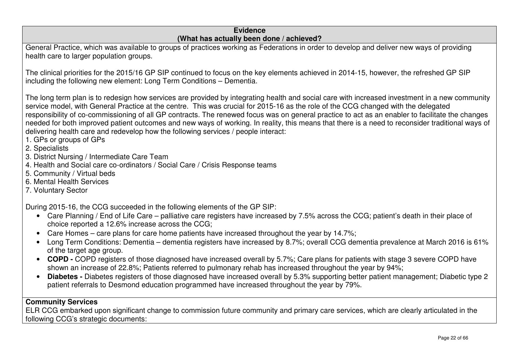| <b>Evidence</b><br>(What has actually been done / achieved?                                                                                                                                                                                                                                                                                                                                                                                                                                                                                                                                                                                                                                                                     |
|---------------------------------------------------------------------------------------------------------------------------------------------------------------------------------------------------------------------------------------------------------------------------------------------------------------------------------------------------------------------------------------------------------------------------------------------------------------------------------------------------------------------------------------------------------------------------------------------------------------------------------------------------------------------------------------------------------------------------------|
| General Practice, which was available to groups of practices working as Federations in order to develop and deliver new ways of providing<br>health care to larger population groups.                                                                                                                                                                                                                                                                                                                                                                                                                                                                                                                                           |
| The clinical priorities for the 2015/16 GP SIP continued to focus on the key elements achieved in 2014-15, however, the refreshed GP SIP<br>including the following new element: Long Term Conditions - Dementia.                                                                                                                                                                                                                                                                                                                                                                                                                                                                                                               |
| The long term plan is to redesign how services are provided by integrating health and social care with increased investment in a new community<br>service model, with General Practice at the centre. This was crucial for 2015-16 as the role of the CCG changed with the delegated<br>responsibility of co-commissioning of all GP contracts. The renewed focus was on general practice to act as an enabler to facilitate the changes<br>needed for both improved patient outcomes and new ways of working. In reality, this means that there is a need to reconsider traditional ways of<br>delivering health care and redevelop how the following services / people interact:<br>1. GPs or groups of GPs<br>2. Specialists |
| 3. District Nursing / Intermediate Care Team                                                                                                                                                                                                                                                                                                                                                                                                                                                                                                                                                                                                                                                                                    |
| 4. Health and Social care co-ordinators / Social Care / Crisis Response teams<br>5. Community / Virtual beds                                                                                                                                                                                                                                                                                                                                                                                                                                                                                                                                                                                                                    |
| 6. Mental Health Services<br>7. Voluntary Sector                                                                                                                                                                                                                                                                                                                                                                                                                                                                                                                                                                                                                                                                                |
| During 2015-16, the CCG succeeded in the following elements of the GP SIP:                                                                                                                                                                                                                                                                                                                                                                                                                                                                                                                                                                                                                                                      |
| Care Planning / End of Life Care – palliative care registers have increased by 7.5% across the CCG; patient's death in their place of<br>$\bullet$<br>choice reported a 12.6% increase across the CCG;                                                                                                                                                                                                                                                                                                                                                                                                                                                                                                                          |
| Care Homes – care plans for care home patients have increased throughout the year by 14.7%;                                                                                                                                                                                                                                                                                                                                                                                                                                                                                                                                                                                                                                     |
| Long Term Conditions: Dementia – dementia registers have increased by 8.7%; overall CCG dementia prevalence at March 2016 is 61%<br>$\bullet$<br>of the target age group.                                                                                                                                                                                                                                                                                                                                                                                                                                                                                                                                                       |
| <b>COPD</b> - COPD registers of those diagnosed have increased overall by 5.7%; Care plans for patients with stage 3 severe COPD have<br>$\bullet$<br>shown an increase of 22.8%; Patients referred to pulmonary rehab has increased throughout the year by 94%;                                                                                                                                                                                                                                                                                                                                                                                                                                                                |
| Diabetes - Diabetes registers of those diagnosed have increased overall by 5.3% supporting better patient management; Diabetic type 2<br>$\bullet$<br>patient referrals to Desmond education programmed have increased throughout the year by 79%.                                                                                                                                                                                                                                                                                                                                                                                                                                                                              |
| <b>Community Services</b>                                                                                                                                                                                                                                                                                                                                                                                                                                                                                                                                                                                                                                                                                                       |
| ELR CCG embarked upon significant change to commission future community and primary care services, which are clearly articulated in the                                                                                                                                                                                                                                                                                                                                                                                                                                                                                                                                                                                         |

following CCG's strategic documents: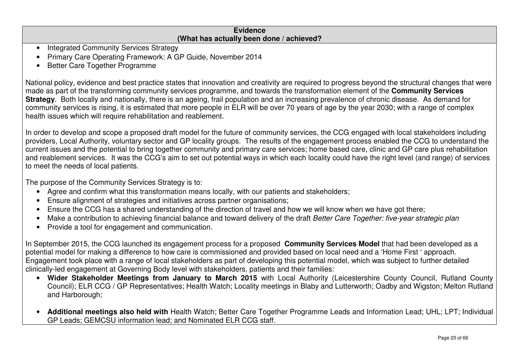- Integrated Community Services Strategy
- Primary Care Operating Framework: A GP Guide, November 2014
- Better Care Together Programme

National policy, evidence and best practice states that innovation and creativity are required to progress beyond the structural changes that were made as part of the transforming community services programme, and towards the transformation element of the **Community Services Strategy**. Both locally and nationally, there is an ageing, frail population and an increasing prevalence of chronic disease. As demand for community services is rising, it is estimated that more people in ELR will be over 70 years of age by the year 2030; with a range of complex health issues which will require rehabilitation and reablement.

In order to develop and scope a proposed draft model for the future of community services, the CCG engaged with local stakeholders including providers, Local Authority, voluntary sector and GP locality groups. The results of the engagement process enabled the CCG to understand the current issues and the potential to bring together community and primary care services; home based care, clinic and GP care plus rehabilitation and reablement services. It was the CCG's aim to set out potential ways in which each locality could have the right level (and range) of services to meet the needs of local patients.

The purpose of the Community Services Strategy is to:

- Agree and confirm what this transformation means locally, with our patients and stakeholders;
- Ensure alignment of strategies and initiatives across partner organisations;
- Ensure the CCG has a shared understanding of the direction of travel and how we will know when we have got there;
- Make a contribution to achieving financial balance and toward delivery of the draft Better Care Together: five-year strategic plan
- Provide a tool for engagement and communication.

In September 2015, the CCG launched its engagement process for a proposed **Community Services Model** that had been developed as a potential model for making a difference to how care is commissioned and provided based on local need and a 'Home First ' approach. Engagement took place with a range of local stakeholders as part of developing this potential model, which was subject to further detailed clinically-led engagement at Governing Body level with stakeholders, patients and their families:

- **Wider Stakeholder Meetings from January to March 2015** with Local Authority (Leicestershire County Council, Rutland County Council); ELR CCG / GP Representatives; Health Watch; Locality meetings in Blaby and Lutterworth; Oadby and Wigston; Melton Rutland and Harborough;
- **Additional meetings also held with** Health Watch; Better Care Together Programme Leads and Information Lead; UHL; LPT; Individual GP Leads; GEMCSU information lead; and Nominated ELR CCG staff.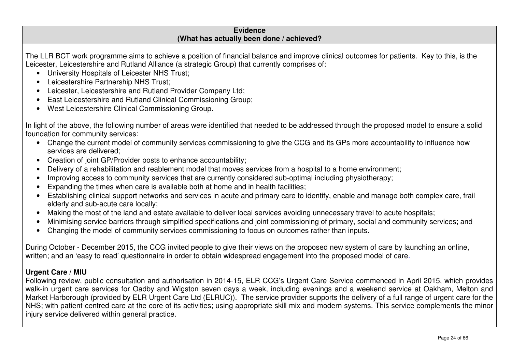The LLR BCT work programme aims to achieve a position of financial balance and improve clinical outcomes for patients. Key to this, is the Leicester, Leicestershire and Rutland Alliance (a strategic Group) that currently comprises of:

- University Hospitals of Leicester NHS Trust;
- Leicestershire Partnership NHS Trust;
- Leicester, Leicestershire and Rutland Provider Company Ltd;
- East Leicestershire and Rutland Clinical Commissioning Group;
- West Leicestershire Clinical Commissioning Group.

In light of the above, the following number of areas were identified that needed to be addressed through the proposed model to ensure a solid foundation for community services:

- Change the current model of community services commissioning to give the CCG and its GPs more accountability to influence how services are delivered;
- Creation of joint GP/Provider posts to enhance accountability;
- Delivery of a rehabilitation and reablement model that moves services from a hospital to a home environment;
- Improving access to community services that are currently considered sub-optimal including physiotherapy;
- Expanding the times when care is available both at home and in health facilities;
- Establishing clinical support networks and services in acute and primary care to identify, enable and manage both complex care, frail elderly and sub-acute care locally;
- Making the most of the land and estate available to deliver local services avoiding unnecessary travel to acute hospitals;
- Minimising service barriers through simplified specifications and joint commissioning of primary, social and community services; and
- Changing the model of community services commissioning to focus on outcomes rather than inputs.

During October - December 2015, the CCG invited people to give their views on the proposed new system of care by launching an online, written; and an 'easy to read' questionnaire in order to obtain widespread engagement into the proposed model of care.

### **Urgent Care / MIU**

 Following review, public consultation and authorisation in 2014-15, ELR CCG's Urgent Care Service commenced in April 2015, which provides walk-in urgent care services for Oadby and Wigston seven days a week, including evenings and a weekend service at Oakham, Melton and Market Harborough (provided by ELR Urgent Care Ltd (ELRUC)). The service provider supports the delivery of a full range of urgent care for the NHS; with patient-centred care at the core of its activities; using appropriate skill mix and modern systems. This service complements the minor injury service delivered within general practice.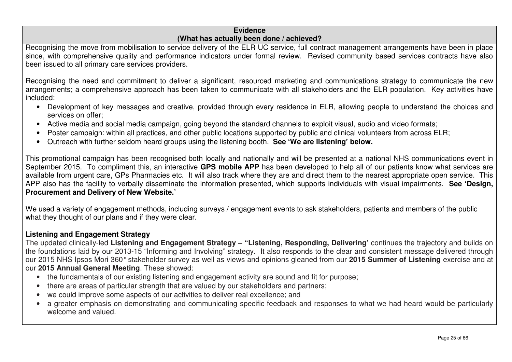Recognising the move from mobilisation to service delivery of the ELR UC service, full contract management arrangements have been in place since, with comprehensive quality and performance indicators under formal review. Revised community based services contracts have also been issued to all primary care services providers.

Recognising the need and commitment to deliver a significant, resourced marketing and communications strategy to communicate the new arrangements; a comprehensive approach has been taken to communicate with all stakeholders and the ELR population. Key activities have included:

- Development of key messages and creative, provided through every residence in ELR, allowing people to understand the choices and services on offer;
- Active media and social media campaign, going beyond the standard channels to exploit visual, audio and video formats;
- Poster campaign: within all practices, and other public locations supported by public and clinical volunteers from across ELR;
- Outreach with further seldom heard groups using the listening booth. **See 'We are listening' below.**

This promotional campaign has been recognised both locally and nationally and will be presented at a national NHS communications event in September 2015. To compliment this, an interactive GPS mobile APP has been developed to help all of our patients know what services are available from urgent care, GPs Pharmacies etc. It will also track where they are and direct them to the nearest appropriate open service. This APP also has the facility to verbally disseminate the information presented, which supports individuals with visual impairments. **See 'Design, Procurement and Delivery of New Website.'** 

We used a variety of engagement methods, including surveys / engagement events to ask stakeholders, patients and members of the public what they thought of our plans and if they were clear.

### **Listening and Engagement Strategy**

 The updated clinically-led **Listening and Engagement Strategy – "Listening, Responding, Delivering'** continues the trajectory and builds on the foundations laid by our 2013-15 "Informing and Involving" strategy. It also responds to the clear and consistent message delivered through our 2015 NHS Ipsos Mori 360° stakeholder survey as well as views and opinions gleaned from our **2015 Summer of Listening** exercise and at our **2015 Annual General Meeting**. These showed:

- the fundamentals of our existing listening and engagement activity are sound and fit for purpose;
- there are areas of particular strength that are valued by our stakeholders and partners;
- we could improve some aspects of our activities to deliver real excellence; and
- a greater emphasis on demonstrating and communicating specific feedback and responses to what we had heard would be particularly welcome and valued.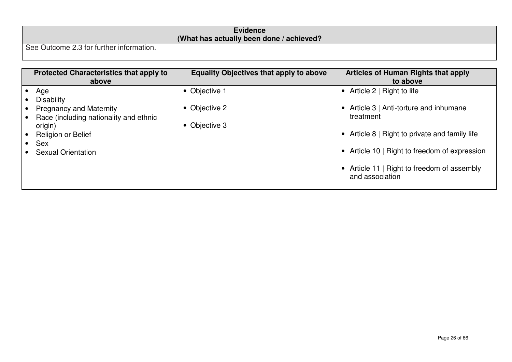|                                                       | <b>Evidence</b>                           |
|-------------------------------------------------------|-------------------------------------------|
|                                                       | (What has actually been done / achieved?) |
| <sup>1</sup> See Outcome 2.3 for further information. |                                           |

| <b>Protected Characteristics that apply to</b><br>above                               | <b>Equality Objectives that apply to above</b> | <b>Articles of Human Rights that apply</b><br>to above       |
|---------------------------------------------------------------------------------------|------------------------------------------------|--------------------------------------------------------------|
| Age                                                                                   | • Objective 1                                  | Article 2   Right to life<br>$\bullet$                       |
| <b>Disability</b>                                                                     |                                                |                                                              |
| <b>Pregnancy and Maternity</b><br>Race (including nationality and ethnic<br>$\bullet$ | Objective 2                                    | Article 3   Anti-torture and inhumane<br>treatment           |
| origin)                                                                               | Objective 3                                    |                                                              |
| Religion or Belief                                                                    |                                                | Article 8   Right to private and family life                 |
| Sex                                                                                   |                                                |                                                              |
| <b>Sexual Orientation</b>                                                             |                                                | Article 10   Right to freedom of expression                  |
|                                                                                       |                                                | Article 11   Right to freedom of assembly<br>and association |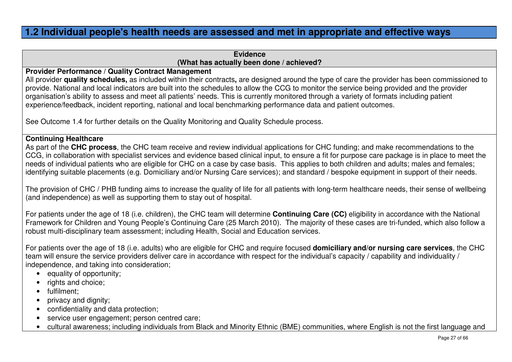### **1.2 Individual people's health needs are assessed and met in appropriate and effective ways**

### **Evidence(What has actually been done / achieved?**

#### **Provider Performance / Quality Contract Management**

 All provider **quality schedules,** as included within their contracts**,** are designed around the type of care the provider has been commissioned to provide. National and local indicators are built into the schedules to allow the CCG to monitor the service being provided and the provider organisation's ability to assess and meet all patients' needs. This is currently monitored through a variety of formats including patient experience/feedback, incident reporting, national and local benchmarking performance data and patient outcomes.

See Outcome 1.4 for further details on the Quality Monitoring and Quality Schedule process.

### **Continuing Healthcare**

 As part of the **CHC process**, the CHC team receive and review individual applications for CHC funding; and make recommendations to the CCG, in collaboration with specialist services and evidence based clinical input, to ensure a fit for purpose care package is in place to meet the needs of individual patients who are eligible for CHC on a case by case basis. This applies to both children and adults; males and females; identifying suitable placements (e.g. Domiciliary and/or Nursing Care services); and standard / bespoke equipment in support of their needs.

The provision of CHC / PHB funding aims to increase the quality of life for all patients with long-term healthcare needs, their sense of wellbeing (and independence) as well as supporting them to stay out of hospital.

For patients under the age of 18 (i.e. children), the CHC team will determine **Continuing Care (CC)** eligibility in accordance with the National Framework for Children and Young People's Continuing Care (25 March 2010). The majority of these cases are tri-funded, which also follow a robust multi-disciplinary team assessment; including Health, Social and Education services.

For patients over the age of 18 (i.e. adults) who are eligible for CHC and require focused **domiciliary and/or nursing care services**, the CHC team will ensure the service providers deliver care in accordance with respect for the individual's capacity / capability and individuality / independence, and taking into consideration;

- equality of opportunity;
- rights and choice:
- fulfilment;
- privacy and dignity;
- confidentiality and data protection;
- service user engagement; person centred care;
- cultural awareness; including individuals from Black and Minority Ethnic (BME) communities, where English is not the first language and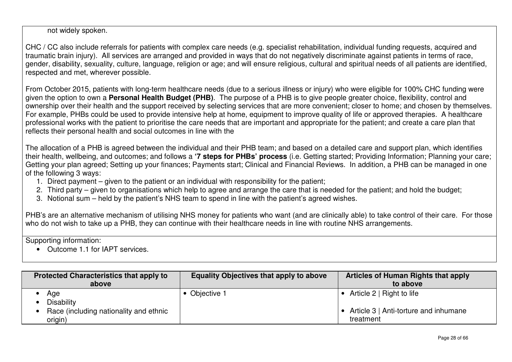not widely spoken.

CHC / CC also include referrals for patients with complex care needs (e.g. specialist rehabilitation, individual funding requests, acquired and traumatic brain injury). All services are arranged and provided in ways that do not negatively discriminate against patients in terms of race, gender, disability, sexuality, culture, language, religion or age; and will ensure religious, cultural and spiritual needs of all patients are identified, respected and met, wherever possible.

From October 2015, patients with long-term healthcare needs (due to a serious illness or injury) who were eligible for 100% CHC funding were given the option to own a **Personal Health Budget (PHB)**. The purpose of a PHB is to give people greater choice, flexibility, control and ownership over their health and the support received by selecting services that are more convenient; closer to home; and chosen by themselves. For example, PHBs could be used to provide intensive help at home, equipment to improve quality of life or approved therapies. A healthcare professional works with the patient to prioritise the care needs that are important and appropriate for the patient; and create a care plan that reflects their personal health and social outcomes in line with the

The allocation of a PHB is agreed between the individual and their PHB team; and based on a detailed care and support plan, which identifies their health, wellbeing, and outcomes; and follows a **'7 steps for PHBs' process** (i.e. Getting started; Providing Information; Planning your care; Getting your plan agreed; Setting up your finances; Payments start; Clinical and Financial Reviews. In addition, a PHB can be managed in one of the following 3 ways:

- 1. Direct payment given to the patient or an individual with responsibility for the patient;
- 2. Third party given to organisations which help to agree and arrange the care that is needed for the patient; and hold the budget;
- 3. Notional sum held by the patient's NHS team to spend in line with the patient's agreed wishes.

PHB's are an alternative mechanism of utilising NHS money for patients who want (and are clinically able) to take control of their care. For those who do not wish to take up a PHB, they can continue with their healthcare needs in line with routine NHS arrangements.

Supporting information:

• Outcome 1.1 for IAPT services.

| <b>Protected Characteristics that apply to</b><br>above | <b>Equality Objectives that apply to above</b> | <b>Articles of Human Rights that apply</b><br>to above |
|---------------------------------------------------------|------------------------------------------------|--------------------------------------------------------|
| Age<br><b>Disability</b>                                | • Objective 1                                  | Article $2 \mid$ Right to life                         |
| Race (including nationality and ethnic<br>origin)       |                                                | Article 3   Anti-torture and inhumane<br>treatment     |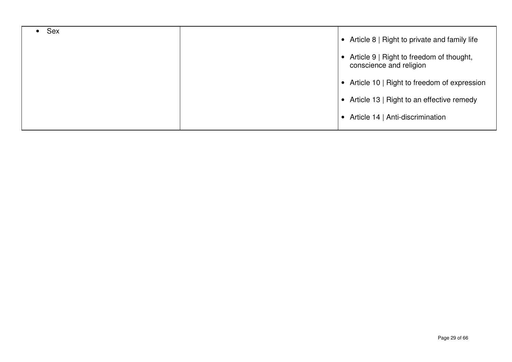| <b>Sex</b> | • Article 8   Right to private and family life                                   |
|------------|----------------------------------------------------------------------------------|
|            | Article 9   Right to freedom of thought,<br>$\bullet$<br>conscience and religion |
|            | • Article 10   Right to freedom of expression                                    |
|            | • Article 13   Right to an effective remedy                                      |
|            | Article 14   Anti-discrimination<br>$\bullet$                                    |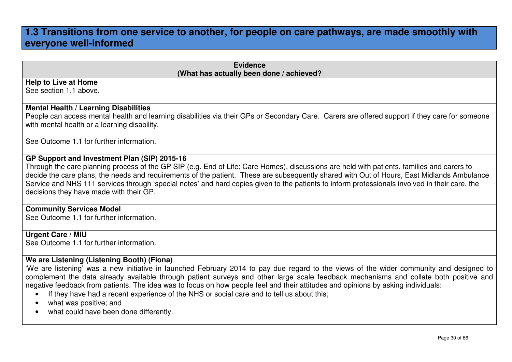### **1.3 Transitions from one service to another, for people on care pathways, are made smoothly with everyone well-informed**

| <b>Evidence</b><br>(What has actually been done / achieved?                                                                                                                                                                                                                                  |
|----------------------------------------------------------------------------------------------------------------------------------------------------------------------------------------------------------------------------------------------------------------------------------------------|
| <b>Help to Live at Home</b>                                                                                                                                                                                                                                                                  |
| See section 1.1 above.                                                                                                                                                                                                                                                                       |
| <b>Mental Health / Learning Disabilities</b>                                                                                                                                                                                                                                                 |
| People can access mental health and learning disabilities via their GPs or Secondary Care. Carers are offered support if they care for someone<br>with mental health or a learning disability.                                                                                               |
| See Outcome 1.1 for further information.                                                                                                                                                                                                                                                     |
| GP Support and Investment Plan (SIP) 2015-16                                                                                                                                                                                                                                                 |
| Through the care planning process of the GP SIP (e.g. End of Life; Care Homes), discussions are held with patients, families and carers to                                                                                                                                                   |
| decide the care plans, the needs and requirements of the patient. These are subsequently shared with Out of Hours, East Midlands Ambulance<br>Service and NHS 111 services through 'special notes' and hard copies given to the patients to inform professionals involved in their care, the |
| decisions they have made with their GP.                                                                                                                                                                                                                                                      |
| <b>Community Services Model</b>                                                                                                                                                                                                                                                              |
| See Outcome 1.1 for further information.                                                                                                                                                                                                                                                     |
| <b>Urgent Care / MIU</b>                                                                                                                                                                                                                                                                     |
| See Outcome 1.1 for further information.                                                                                                                                                                                                                                                     |
| We are Listening (Listening Booth) (Fiona)                                                                                                                                                                                                                                                   |
| 'We are listening' was a new initiative in launched February 2014 to pay due regard to the views of the wider community and designed to                                                                                                                                                      |
| complement the data already available through patient surveys and other large scale feedback mechanisms and collate both positive and<br>negative feedback from patients. The idea was to focus on how people feel and their attitudes and opinions by asking individuals:                   |
| If they have had a recent experience of the NHS or social care and to tell us about this;                                                                                                                                                                                                    |
|                                                                                                                                                                                                                                                                                              |

- what was positive; and
- what could have been done differently.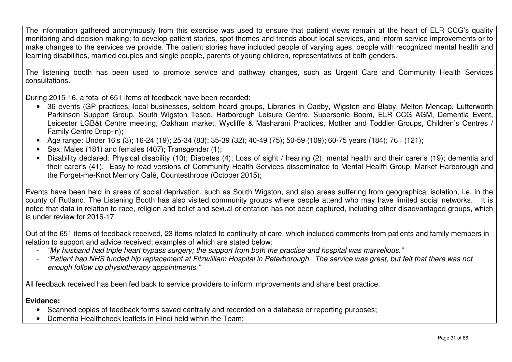The information gathered anonymously from this exercise was used to ensure that patient views remain at the heart of ELR CCG's quality monitoring and decision making; to develop patient stories, spot themes and trends about local services, and inform service improvements or to make changes to the services we provide. The patient stories have included people of varying ages, people with recognized mental health and learning disabilities, married couples and single people, parents of young children, representatives of both genders.

The listening booth has been used to promote service and pathway changes, such as Urgent Care and Community Health Services consultations.

During 2015-16, a total of 651 items of feedback have been recorded:

- 36 events (GP practices, local businesses, seldom heard groups, Libraries in Oadby, Wigston and Blaby, Melton Mencap, Lutterworth Parkinson Support Group, South Wigston Tesco, Harborough Leisure Centre, Supersonic Boom, ELR CCG AGM, Dementia Event, Leicester LGB&t Centre meeting, Oakham market, Wycliffe & Masharani Practices, Mother and Toddler Groups, Children's Centres Family Centre Drop-in);
- Age range: Under 16's (3); 16-24 (19); 25-34 (83); 35-39 (32); 40-49 (75); 50-59 (109); 60-75 years (184); 76+ (121);
- Sex: Males (181) and females (407); Transgender (1);
- Disability declared: Physical disability (10); Diabetes (4); Loss of sight / hearing (2); mental health and their carer's (19); dementia and their carer's (41). Easy-to-read versions of Community Health Services disseminated to Mental Health Group, Market Harborough and the Forget-me-Knot Memory Café, Countesthrope (October 2015);

Events have been held in areas of social deprivation, such as South Wigston, and also areas suffering from geographical isolation, i.e. in the county of Rutland. The Listening Booth has also visited community groups where people attend who may have limited social networks. It is noted that data in relation to race, religion and belief and sexual orientation has not been captured, including other disadvantaged groups, which is under review for 2016-17.

Out of the 651 items of feedback received, 23 items related to continuity of care, which included comments from patients and family members in relation to support and advice received; examples of which are stated below:

- "My husband had triple heart bypass surgery; the support from both the practice and hospital was marvellous."
- "Patient had NHS funded hip replacement at Fitzwilliam Hospital in Peterborough. The service was great, but felt that there was not enough follow up physiotherapy appointments."

All feedback received has been fed back to service providers to inform improvements and share best practice.

#### **Evidence:**

- Scanned copies of feedback forms saved centrally and recorded on a database or reporting purposes;
- Dementia Healthcheck leaflets in Hindi held within the Team;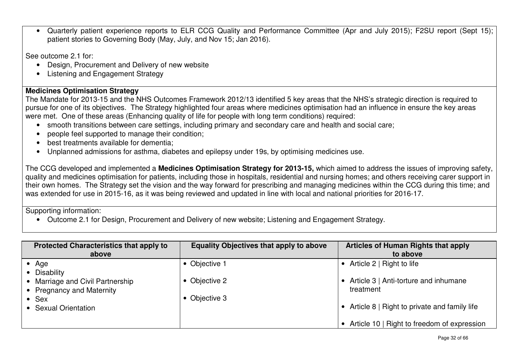• Quarterly patient experience reports to ELR CCG Quality and Performance Committee (Apr and July 2015); F2SU report (Sept 15); patient stories to Governing Body (May, July, and Nov 15; Jan 2016).

See outcome 2.1 for:

- Design, Procurement and Delivery of new website
- Listening and Engagement Strategy

### **Medicines Optimisation Strategy**

 The Mandate for 2013-15 and the NHS Outcomes Framework 2012/13 identified 5 key areas that the NHS's strategic direction is required to pursue for one of its objectives. The Strategy highlighted four areas where medicines optimisation had an influence in ensure the key areas were met. One of these areas (Enhancing quality of life for people with long term conditions) required:

- smooth transitions between care settings, including primary and secondary care and health and social care;
- people feel supported to manage their condition;
- best treatments available for dementia;
- Unplanned admissions for asthma, diabetes and epilepsy under 19s, by optimising medicines use.

The CCG developed and implemented a **Medicines Optimisation Strategy for 2013-15,** which aimed to address the issues of improving safety, quality and medicines optimisation for patients, including those in hospitals, residential and nursing homes; and others receiving carer support in their own homes. The Strategy set the vision and the way forward for prescribing and managing medicines within the CCG during this time; and was extended for use in 2015-16, as it was being reviewed and updated in line with local and national priorities for 2016-17.

Supporting information:

• Outcome 2.1 for Design, Procurement and Delivery of new website; Listening and Engagement Strategy.

| <b>Protected Characteristics that apply to</b><br>above       | <b>Equality Objectives that apply to above</b> | Articles of Human Rights that apply<br>to above    |
|---------------------------------------------------------------|------------------------------------------------|----------------------------------------------------|
| Age<br>• Disability                                           | Objective 1                                    | Article 2   Right to life                          |
| • Marriage and Civil Partnership<br>• Pregnancy and Maternity | Objective 2                                    | Article 3   Anti-torture and inhumane<br>treatment |
| • Sex<br>• Sexual Orientation                                 | Objective 3                                    | Article 8   Right to private and family life       |
|                                                               |                                                | Article 10   Right to freedom of expression        |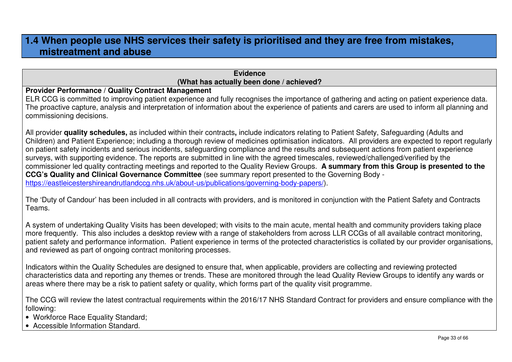### **1.4 When people use NHS services their safety is prioritised and they are free from mistakes, mistreatment and abuse**

#### **Evidence(What has actually been done / achieved?**

**Provider Performance / Quality Contract Management** 

 ELR CCG is committed to improving patient experience and fully recognises the importance of gathering and acting on patient experience data. The proactive capture, analysis and interpretation of information about the experience of patients and carers are used to inform all planning and commissioning decisions.

All provider **quality schedules,** as included within their contracts**,** include indicators relating to Patient Safety, Safeguarding (Adults and Children) and Patient Experience; including a thorough review of medicines optimisation indicators. All providers are expected to report regularly on patient safety incidents and serious incidents, safeguarding compliance and the results and subsequent actions from patient experience surveys, with supporting evidence. The reports are submitted in line with the agreed timescales, reviewed/challenged/verified by the commissioner led quality contracting meetings and reported to the Quality Review Groups. **A summary from this Group is presented to the CCG's Quality and Clinical Governance Committee** (see summary report presented to the Governing Body https://eastleicestershireandrutlandccg.nhs.uk/about-us/publications/governing-body-papers/).

The 'Duty of Candour' has been included in all contracts with providers, and is monitored in conjunction with the Patient Safety and Contracts Teams.

A system of undertaking Quality Visits has been developed; with visits to the main acute, mental health and community providers taking place more frequently. This also includes a desktop review with a range of stakeholders from across LLR CCGs of all available contract monitoring, patient safety and performance information. Patient experience in terms of the protected characteristics is collated by our provider organisations, and reviewed as part of ongoing contract monitoring processes.

Indicators within the Quality Schedules are designed to ensure that, when applicable, providers are collecting and reviewing protected characteristics data and reporting any themes or trends. These are monitored through the lead Quality Review Groups to identify any wards or areas where there may be a risk to patient safety or quality, which forms part of the quality visit programme.

The CCG will review the latest contractual requirements within the 2016/17 NHS Standard Contract for providers and ensure compliance with the following:

- Workforce Race Equality Standard;
- Accessible Information Standard.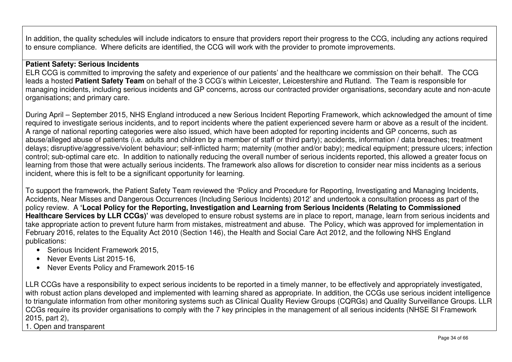In addition, the quality schedules will include indicators to ensure that providers report their progress to the CCG, including any actions required to ensure compliance. Where deficits are identified, the CCG will work with the provider to promote improvements.

#### **Patient Safety: Serious Incidents**

 ELR CCG is committed to improving the safety and experience of our patients' and the healthcare we commission on their behalf. The CCG leads a hosted **Patient Safety Team** on behalf of the 3 CCG's within Leicester, Leicestershire and Rutland. The Team is responsible for managing incidents, including serious incidents and GP concerns, across our contracted provider organisations, secondary acute and non-acute organisations; and primary care.

During April – September 2015, NHS England introduced a new Serious Incident Reporting Framework, which acknowledged the amount of time required to investigate serious incidents, and to report incidents where the patient experienced severe harm or above as a result of the incident. A range of national reporting categories were also issued, which have been adopted for reporting incidents and GP concerns, such as abuse/alleged abuse of patients (i.e. adults and children by a member of staff or third party); accidents, information / data breaches; treatment delays; disruptive/aggressive/violent behaviour; self-inflicted harm; maternity (mother and/or baby); medical equipment; pressure ulcers; infection control; sub-optimal care etc. In addition to nationally reducing the overall number of serious incidents reported, this allowed a greater focus on learning from those that were actually serious incidents. The framework also allows for discretion to consider near miss incidents as a serious incident, where this is felt to be a significant opportunity for learning.

To support the framework, the Patient Safety Team reviewed the 'Policy and Procedure for Reporting, Investigating and Managing Incidents, Accidents, Near Misses and Dangerous Occurrences (Including Serious Incidents) 2012' and undertook a consultation process as part of the policy review. A **'Local Policy for the Reporting, Investigation and Learning from Serious Incidents (Relating to Commissioned Healthcare Services by LLR CCGs)'** was developed to ensure robust systems are in place to report, manage, learn from serious incidents and take appropriate action to prevent future harm from mistakes, mistreatment and abuse. The Policy, which was approved for implementation in February 2016, relates to the Equality Act 2010 (Section 146), the Health and Social Care Act 2012, and the following NHS England publications:

- Serious Incident Framework 2015,
- Never Events List 2015-16.
- Never Events Policy and Framework 2015-16

LLR CCGs have a responsibility to expect serious incidents to be reported in a timely manner, to be effectively and appropriately investigated, with robust action plans developed and implemented with learning shared as appropriate. In addition, the CCGs use serious incident intelligence to triangulate information from other monitoring systems such as Clinical Quality Review Groups (CQRGs) and Quality Surveillance Groups. LLR CCGs require its provider organisations to comply with the 7 key principles in the management of all serious incidents (NHSE SI Framework 2015, part 2),

1. Open and transparent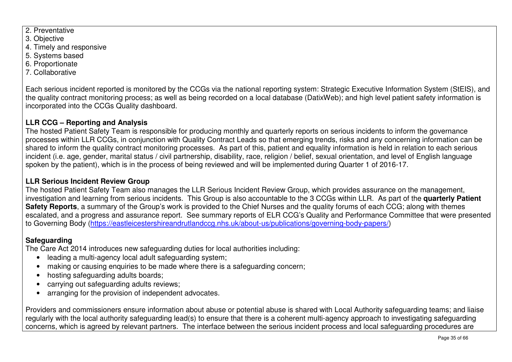- 2. Preventative
- 3. Objective
- 4. Timely and responsive
- 5. Systems based
- 6. Proportionate
- 7. Collaborative

Each serious incident reported is monitored by the CCGs via the national reporting system: Strategic Executive Information System (StEIS), and the quality contract monitoring process; as well as being recorded on a local database (DatixWeb); and high level patient safety information is incorporated into the CCGs Quality dashboard.

### **LLR CCG – Reporting and Analysis**

 The hosted Patient Safety Team is responsible for producing monthly and quarterly reports on serious incidents to inform the governance processes within LLR CCGs, in conjunction with Quality Contract Leads so that emerging trends, risks and any concerning information can be shared to inform the quality contract monitoring processes. As part of this, patient and equality information is held in relation to each serious incident (i.e. age, gender, marital status / civil partnership, disability, race, religion / belief, sexual orientation, and level of English language spoken by the patient), which is in the process of being reviewed and will be implemented during Quarter 1 of 2016-17.

### **LLR Serious Incident Review Group**

 The hosted Patient Safety Team also manages the LLR Serious Incident Review Group, which provides assurance on the management, investigation and learning from serious incidents. This Group is also accountable to the 3 CCGs within LLR. As part of the **quarterly Patient Safety Reports**, a summary of the Group's work is provided to the Chief Nurses and the quality forums of each CCG; along with themes escalated, and a progress and assurance report. See summary reports of ELR CCG's Quality and Performance Committee that were presented to Governing Body (https://eastleicestershireandrutlandccg.nhs.uk/about-us/publications/governing-body-papers/)

### **Safeguarding**

The Care Act 2014 introduces new safeguarding duties for local authorities including:

- leading a multi-agency local adult safeguarding system;
- making or causing enquiries to be made where there is a safeguarding concern;
- hosting safeguarding adults boards;
- carrying out safeguarding adults reviews;
- arranging for the provision of independent advocates.

Providers and commissioners ensure information about abuse or potential abuse is shared with Local Authority safeguarding teams; and liaise regularly with the local authority safeguarding lead(s) to ensure that there is a coherent multi-agency approach to investigating safeguarding concerns, which is agreed by relevant partners. The interface between the serious incident process and local safeguarding procedures are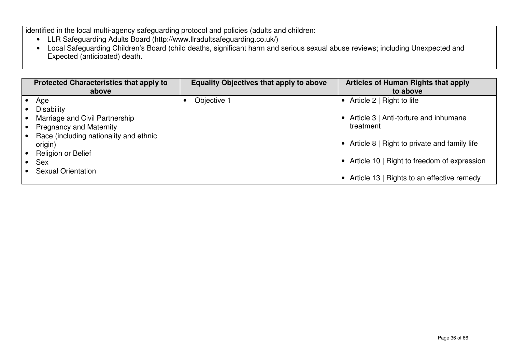identified in the local multi-agency safeguarding protocol and policies (adults and children:

- 
- LLR Safeguarding Adults Board (<u>http://www.llradultsafeguarding.co.uk/</u>)<br>• Local Safeguarding Children's Board (child deaths, significant harm and serious sexual abuse reviews; including Unexpected and Expected (anticipated) death.

|           | <b>Protected Characteristics that apply to</b><br>above | <b>Equality Objectives that apply to above</b> | <b>Articles of Human Rights that apply</b><br>to above |
|-----------|---------------------------------------------------------|------------------------------------------------|--------------------------------------------------------|
|           | Age                                                     | Objective 1                                    | Article $2 \mid$ Right to life                         |
|           | <b>Disability</b>                                       |                                                |                                                        |
|           | Marriage and Civil Partnership                          |                                                | Article 3   Anti-torture and inhumane                  |
|           | <b>Pregnancy and Maternity</b>                          |                                                | treatment                                              |
| $\bullet$ | Race (including nationality and ethnic<br>origin)       |                                                | Article 8   Right to private and family life           |
|           | <b>Religion or Belief</b>                               |                                                |                                                        |
|           | <b>Sex</b>                                              |                                                | Article 10   Right to freedom of expression            |
|           | <b>Sexual Orientation</b>                               |                                                | Article 13   Rights to an effective remedy             |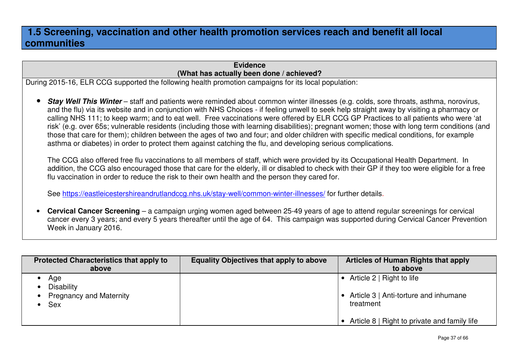### **1.5 Screening, vaccination and other health promotion services reach and benefit all local communities**

### **Evidence(What has actually been done / achieved?**

During 2015-16, ELR CCG supported the following health promotion campaigns for its local population:

• **Stay Well This Winter** – staff and patients were reminded about common winter illnesses (e.g. colds, sore throats, asthma, norovirus, and the flu) via its website and in conjunction with NHS Choices - if feeling unwell to seek help straight away by visiting a pharmacy or calling NHS 111; to keep warm; and to eat well. Free vaccinations were offered by ELR CCG GP Practices to all patients who were 'at risk' (e.g. over 65s; vulnerable residents (including those with learning disabilities); pregnant women; those with long term conditions (and those that care for them); children between the ages of two and four; and older children with specific medical conditions, for example asthma or diabetes) in order to protect them against catching the flu, and developing serious complications.

The CCG also offered free flu vaccinations to all members of staff, which were provided by its Occupational Health Department. In addition, the CCG also encouraged those that care for the elderly, ill or disabled to check with their GP if they too were eligible for a free flu vaccination in order to reduce the risk to their own health and the person they cared for.

See <u>https://eastleicestershireandrutlandccg.nhs.uk/stay-well/common-winter-illnesses/</u> for further details.

• **Cervical Cancer Screening** – a campaign urging women aged between 25-49 years of age to attend regular screenings for cervical cancer every 3 years; and every 5 years thereafter until the age of 64. This campaign was supported during Cervical Cancer Prevention Week in January 2016.

| <b>Protected Characteristics that apply to</b>                           | <b>Equality Objectives that apply to above</b> | <b>Articles of Human Rights that apply</b>                                      |
|--------------------------------------------------------------------------|------------------------------------------------|---------------------------------------------------------------------------------|
| above                                                                    |                                                | to above                                                                        |
| Age<br><b>Disability</b><br><b>Pregnancy and Maternity</b><br><b>Sex</b> |                                                | Article 2   Right to life<br>Article 3   Anti-torture and inhumane<br>treatment |
|                                                                          |                                                | Article 8   Right to private and family life                                    |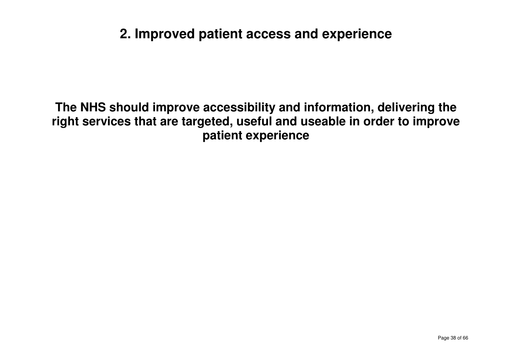# **2. Improved patient access and experience**

**The NHS should improve accessibility and information, delivering the right services that are targeted, useful and useable in order to improve patient experience**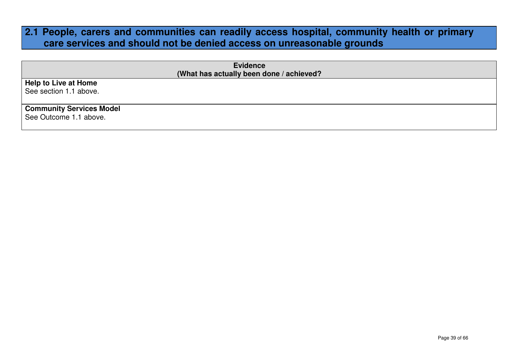### **2.1 People, carers and communities can readily access hospital, community health or primary care services and should not be denied access on unreasonable grounds**

| <b>Evidence</b>                          |
|------------------------------------------|
| (What has actually been done / achieved? |
| Help to Live at Home                     |
| See section 1.1 above.                   |
|                                          |
| <b>Community Services Model</b>          |
| See Outcome 1.1 above.                   |
|                                          |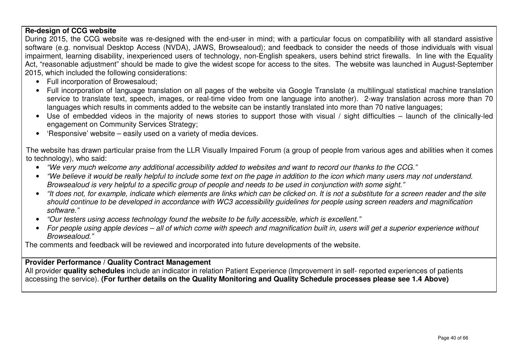## **Re-design of CCG website**

During 2015, the CCG website was re-designed with the end-user in mind; with a particular focus on compatibility with all standard assistive software (e.g. nonvisual Desktop Access (NVDA), JAWS, Browsealoud); and feedback to consider the needs of those individuals with visual impairment, learning disability, inexperienced users of technology, non-English speakers, users behind strict firewalls. In line with the Equality Act, "reasonable adjustment" should be made to give the widest scope for access to the sites. The website was launched in August-September 2015, which included the following considerations:

- Full incorporation of Browesaloud;
- Full incorporation of language translation on all pages of the website via Google Translate (a multilingual statistical machine translation service to translate text, speech, images, or real-time video from one language into another). 2-way translation across more than 70 languages which results in comments added to the website can be instantly translated into more than 70 native languages;
- Use of embedded videos in the majority of news stories to support those with visual / sight difficulties launch of the clinically-led engagement on Community Services Strategy;
- 'Responsive' website easily used on a variety of media devices.

The website has drawn particular praise from the LLR Visually Impaired Forum (a group of people from various ages and abilities when it comes to technology), who said:

- "We very much welcome any additional accessibility added to websites and want to record our thanks to the CCG."
- "We believe it would be really helpful to include some text on the page in addition to the icon which many users may not understand. Browsealoud is very helpful to a specific group of people and needs to be used in conjunction with some sight."
- "It does not, for example, indicate which elements are links which can be clicked on. It is not a substitute for a screen reader and the site should continue to be developed in accordance with WC3 accessibility guidelines for people using screen readers and magnification software."
- "Our testers using access technology found the website to be fully accessible, which is excellent."
- For people using apple devices all of which come with speech and magnification built in, users will get a superior experience without Browsealoud."

The comments and feedback will be reviewed and incorporated into future developments of the website.

### **Provider Performance / Quality Contract Management**

 All provider **quality schedules** include an indicator in relation Patient Experience (Improvement in self- reported experiences of patients accessing the service). **(For further details on the Quality Monitoring and Quality Schedule processes please see 1.4 Above)**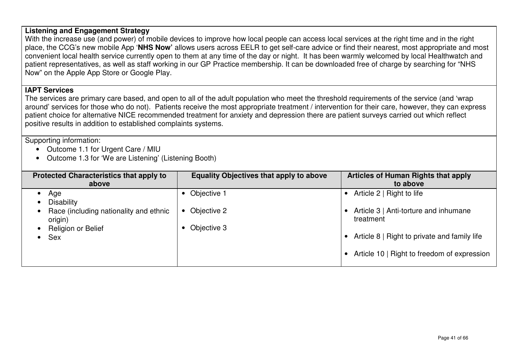### **Listening and Engagement Strategy**

 With the increase use (and power) of mobile devices to improve how local people can access local services at the right time and in the right place, the CCG's new mobile App '**NHS Now'** allows users across EELR to get self-care advice or find their nearest, most appropriate and most convenient local health service currently open to them at any time of the day or night. It has been warmly welcomed by local Healthwatch and patient representatives, as well as staff working in our GP Practice membership. It can be downloaded free of charge by searching for "NHS Now" on the Apple App Store or Google Play.

### **IAPT Services**

 The services are primary care based, and open to all of the adult population who meet the threshold requirements of the service (and 'wrap around' services for those who do not). Patients receive the most appropriate treatment / intervention for their care, however, they can express patient choice for alternative NICE recommended treatment for anxiety and depression there are patient surveys carried out which reflect positive results in addition to established complaints systems.

Supporting information:

- Outcome 1.1 for Urgent Care / MIU
- Outcome 1.3 for 'We are Listening' (Listening Booth)

| <b>Protected Characteristics that apply to</b><br>above | <b>Equality Objectives that apply to above</b> | Articles of Human Rights that apply<br>to above    |
|---------------------------------------------------------|------------------------------------------------|----------------------------------------------------|
| Age<br><b>Disability</b>                                | Objective 1                                    | Article 2   Right to life                          |
| Race (including nationality and ethnic<br>origin)       | Objective 2<br>$\bullet$                       | Article 3   Anti-torture and inhumane<br>treatment |
| Religion or Belief<br><b>Sex</b>                        | Objective 3                                    | Article 8   Right to private and family life       |
|                                                         |                                                | Article 10   Right to freedom of expression        |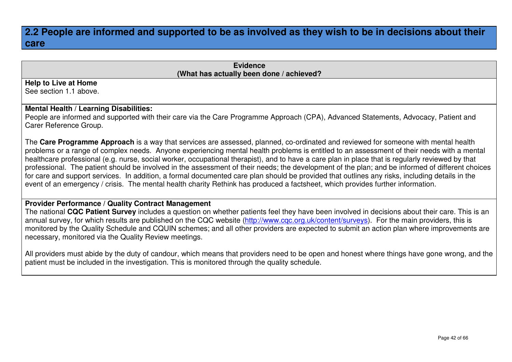### **2.2 People are informed and supported to be as involved as they wish to be in decisions about their care**

#### **Evidence(What has actually been done / achieved?**

#### **Help to Live at Home**

See section 1.1 above.

### **Mental Health / Learning Disabilities:**

 People are informed and supported with their care via the Care Programme Approach (CPA), Advanced Statements, Advocacy, Patient and Carer Reference Group.

The **Care Programme Approach** is a way that services are assessed, planned, co-ordinated and reviewed for someone with mental health problems or a range of complex needs. Anyone experiencing mental health problems is entitled to an assessment of their needs with a mental healthcare professional (e.g. nurse, social worker, occupational therapist), and to have a care plan in place that is regularly reviewed by that professional. The patient should be involved in the assessment of their needs; the development of the plan; and be informed of different choices for care and support services. In addition, a formal documented care plan should be provided that outlines any risks, including details in the event of an emergency / crisis. The mental health charity Rethink has produced a factsheet, which provides further information.

#### **Provider Performance / Quality Contract Management**

 The national **CQC Patient Survey** includes a question on whether patients feel they have been involved in decisions about their care. This is an annual survey, for which results are published on the CQC website (http://www.cqc.org.uk/content/surveys). For the main providers, this is monitored by the Quality Schedule and CQUIN schemes; and all other providers are expected to submit an action plan where improvements are necessary, monitored via the Quality Review meetings.

All providers must abide by the duty of candour, which means that providers need to be open and honest where things have gone wrong, and the patient must be included in the investigation. This is monitored through the quality schedule.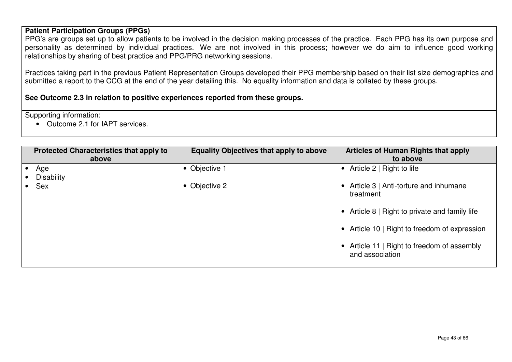### **Patient Participation Groups (PPGs)**

 PPG's are groups set up to allow patients to be involved in the decision making processes of the practice. Each PPG has its own purpose and personality as determined by individual practices. We are not involved in this process; however we do aim to influence good working relationships by sharing of best practice and PPG/PRG networking sessions.

Practices taking part in the previous Patient Representation Groups developed their PPG membership based on their list size demographics and submitted a report to the CCG at the end of the year detailing this. No equality information and data is collated by these groups.

**See Outcome 2.3 in relation to positive experiences reported from these groups.** 

Supporting information:

• Outcome 2.1 for IAPT services.

| <b>Protected Characteristics that apply to</b><br>above | <b>Equality Objectives that apply to above</b> | <b>Articles of Human Rights that apply</b><br>to above                                   |
|---------------------------------------------------------|------------------------------------------------|------------------------------------------------------------------------------------------|
| Age<br><b>Disability</b><br>Sex                         | • Objective 1<br>• Objective 2                 | • Article $2 \mid$ Right to life<br>• Article 3   Anti-torture and inhumane<br>treatment |
|                                                         |                                                | • Article 8   Right to private and family life                                           |
|                                                         |                                                | • Article 10   Right to freedom of expression                                            |
|                                                         |                                                | Article 11   Right to freedom of assembly<br>and association                             |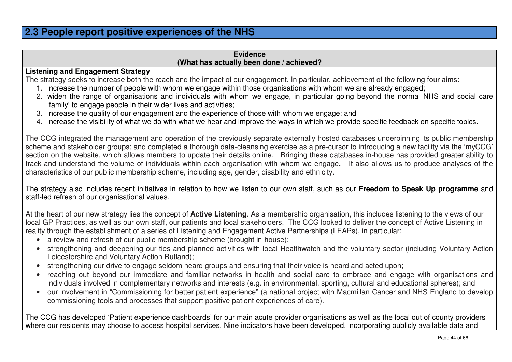### **2.3 People report positive experiences of the NHS**

### **Evidence(What has actually been done / achieved?**

### **Listening and Engagement Strategy**

The strategy seeks to increase both the reach and the impact of our engagement. In particular, achievement of the following four aims:

- 1. increase the number of people with whom we engage within those organisations with whom we are already engaged;
- 2. widen the range of organisations and individuals with whom we engage, in particular going beyond the normal NHS and social care 'family' to engage people in their wider lives and activities;
- 3. increase the quality of our engagement and the experience of those with whom we engage; and
- 4. increase the visibility of what we do with what we hear and improve the ways in which we provide specific feedback on specific topics.

The CCG integrated the management and operation of the previously separate externally hosted databases underpinning its public membership scheme and stakeholder groups; and completed a thorough data-cleansing exercise as a pre-cursor to introducing a new facility via the 'myCCG' section on the website, which allows members to update their details online. Bringing these databases in-house has provided greater ability to track and understand the volume of individuals within each organisation with whom we engage**.** It also allows us to produce analyses of the characteristics of our public membership scheme, including age, gender, disability and ethnicity.

The strategy also includes recent initiatives in relation to how we listen to our own staff, such as our **Freedom to Speak Up programme** and staff-led refresh of our organisational values.

At the heart of our new strategy lies the concept of **Active Listening**. As a membership organisation, this includes listening to the views of our local GP Practices, as well as our own staff, our patients and local stakeholders. The CCG looked to deliver the concept of Active Listening in reality through the establishment of a series of Listening and Engagement Active Partnerships (LEAPs), in particular:

- a review and refresh of our public membership scheme (brought in-house);
- strengthening and deepening our ties and planned activities with local Healthwatch and the voluntary sector (including Voluntary Action Leicestershire and Voluntary Action Rutland);
- strengthening our drive to engage seldom heard groups and ensuring that their voice is heard and acted upon;
- reaching out beyond our immediate and familiar networks in health and social care to embrace and engage with organisations and individuals involved in complementary networks and interests (e.g. in environmental, sporting, cultural and educational spheres); and
- our involvement in "Commissioning for better patient experience" (a national project with Macmillan Cancer and NHS England to develop commissioning tools and processes that support positive patient experiences of care).

The CCG has developed 'Patient experience dashboards' for our main acute provider organisations as well as the local out of county providers where our residents may choose to access hospital services. Nine indicators have been developed, incorporating publicly available data and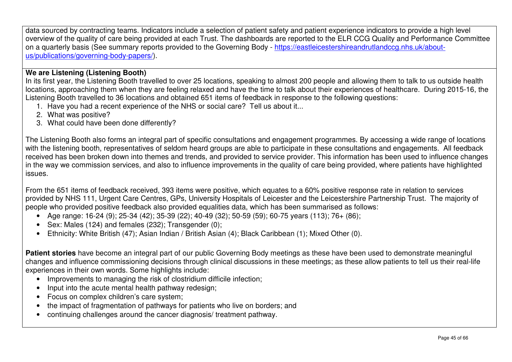data sourced by contracting teams. Indicators include a selection of patient safety and patient experience indicators to provide a high level overview of the quality of care being provided at each Trust. The dashboards are reported to the ELR CCG Quality and Performance Committee on a quarterly basis (See summary reports provided to the Governing Body - https://eastleicestershireandrutlandccg.nhs.uk/aboutus/publications/governing-body-papers/).

### **We are Listening (Listening Booth)**

 In its first year, the Listening Booth travelled to over 25 locations, speaking to almost 200 people and allowing them to talk to us outside health locations, approaching them when they are feeling relaxed and have the time to talk about their experiences of healthcare. During 2015-16, the Listening Booth travelled to 36 locations and obtained 651 items of feedback in response to the following questions:

- 1. Have you had a recent experience of the NHS or social care? Tell us about it...
- 2. What was positive?
- 3. What could have been done differently?

The Listening Booth also forms an integral part of specific consultations and engagement programmes. By accessing a wide range of locations with the listening booth, representatives of seldom heard groups are able to participate in these consultations and engagements. All feedback received has been broken down into themes and trends, and provided to service provider. This information has been used to influence changes in the way we commission services, and also to influence improvements in the quality of care being provided, where patients have highlighted issues.

From the 651 items of feedback received, 393 items were positive, which equates to a 60% positive response rate in relation to services provided by NHS 111, Urgent Care Centres, GPs, University Hospitals of Leicester and the Leicestershire Partnership Trust. The majority of people who provided positive feedback also provided equalities data, which has been summarised as follows:

- Age range: 16-24 (9); 25-34 (42); 35-39 (22); 40-49 (32); 50-59 (59); 60-75 years (113); 76+ (86);
- Sex: Males (124) and females (232); Transgender (0);
- Ethnicity: White British (47); Asian Indian / British Asian (4); Black Caribbean (1); Mixed Other (0).

**Patient stories** have become an integral part of our public Governing Body meetings as these have been used to demonstrate meaningful changes and influence commissioning decisions through clinical discussions in these meetings; as these allow patients to tell us their real-life experiences in their own words. Some highlights include:

- Improvements to managing the risk of clostridium difficile infection;
- Input into the acute mental health pathway redesign;
- Focus on complex children's care system;
- the impact of fragmentation of pathways for patients who live on borders; and
- continuing challenges around the cancer diagnosis/ treatment pathway.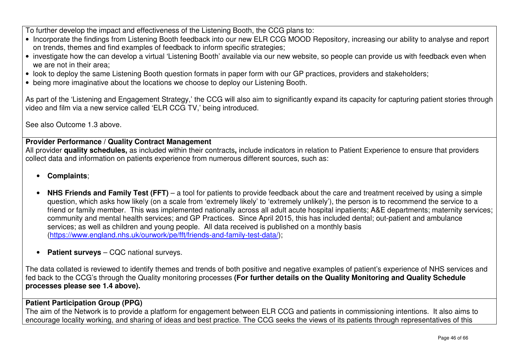To further develop the impact and effectiveness of the Listening Booth, the CCG plans to:

- Incorporate the findings from Listening Booth feedback into our new ELR CCG MOOD Repository, increasing our ability to analyse and report on trends, themes and find examples of feedback to inform specific strategies;
- investigate how the can develop a virtual 'Listening Booth' available via our new website, so people can provide us with feedback even when we are not in their area;
- look to deploy the same Listening Booth question formats in paper form with our GP practices, providers and stakeholders;
- being more imaginative about the locations we choose to deploy our Listening Booth.

As part of the 'Listening and Engagement Strategy,' the CCG will also aim to significantly expand its capacity for capturing patient stories through video and film via a new service called 'ELR CCG TV,' being introduced.

See also Outcome 1.3 above.

### **Provider Performance / Quality Contract Management**

 All provider **quality schedules,** as included within their contracts**,** include indicators in relation to Patient Experience to ensure that providers collect data and information on patients experience from numerous different sources, such as:

- **Complaints**;
- **NHS Friends and Family Test (FFT)** a tool for patients to provide feedback about the care and treatment received by using a simple question, which asks how likely (on a scale from 'extremely likely' to 'extremely unlikely'), the person is to recommend the service to a friend or family member. This was implemented nationally across all adult acute hospital inpatients; A&E departments; maternity services; community and mental health services; and GP Practices. Since April 2015, this has included dental; out-patient and ambulance services; as well as children and young people. All data received is published on a monthly basis (https://www.england.nhs.uk/ourwork/pe/fft/friends-and-family-test-data/);
- **Patient surveys** CQC national surveys.

The data collated is reviewed to identify themes and trends of both positive and negative examples of patient's experience of NHS services and fed back to the CCG's through the Quality monitoring processes **(For further details on the Quality Monitoring and Quality Schedule processes please see 1.4 above).** 

### **Patient Participation Group (PPG)**

 The aim of the Network is to provide a platform for engagement between ELR CCG and patients in commissioning intentions. It also aims to encourage locality working, and sharing of ideas and best practice. The CCG seeks the views of its patients through representatives of this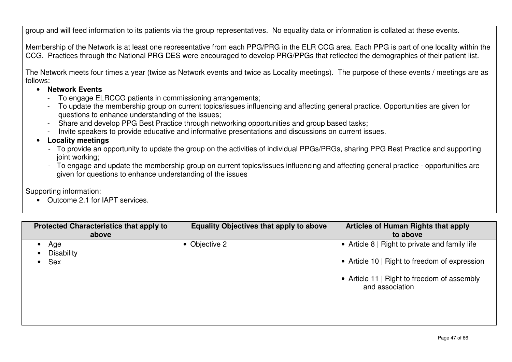group and will feed information to its patients via the group representatives. No equality data or information is collated at these events.

Membership of the Network is at least one representative from each PPG/PRG in the ELR CCG area. Each PPG is part of one locality within the CCG. Practices through the National PRG DES were encouraged to develop PRG/PPGs that reflected the demographics of their patient list.

The Network meets four times a year (twice as Network events and twice as Locality meetings). The purpose of these events / meetings are as follows:

- **Network Events**
	- To engage ELRCCG patients in commissioning arrangements;
	- To update the membership group on current topics/issues influencing and affecting general practice. Opportunities are given for questions to enhance understanding of the issues;
	- Share and develop PPG Best Practice through networking opportunities and group based tasks;
	- Invite speakers to provide educative and informative presentations and discussions on current issues.
- **Locality meetings** 
	- To provide an opportunity to update the group on the activities of individual PPGs/PRGs, sharing PPG Best Practice and supporting joint working;
	- To engage and update the membership group on current topics/issues influencing and affecting general practice opportunities are given for questions to enhance understanding of the issues

Supporting information:

• Outcome 2.1 for IAPT services.

| <b>Protected Characteristics that apply to</b><br>above | <b>Equality Objectives that apply to above</b> | <b>Articles of Human Rights that apply</b><br>to above                                                                                                            |
|---------------------------------------------------------|------------------------------------------------|-------------------------------------------------------------------------------------------------------------------------------------------------------------------|
| Age<br><b>Disability</b><br><b>Sex</b>                  | Objective 2                                    | • Article 8   Right to private and family life<br>• Article 10   Right to freedom of expression<br>• Article 11   Right to freedom of assembly<br>and association |
|                                                         |                                                |                                                                                                                                                                   |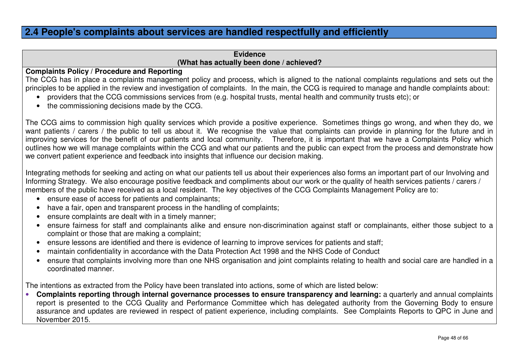### **2.4 People's complaints about services are handled respectfully and efficiently**

### **Evidence(What has actually been done / achieved?**

#### **Complaints Policy / Procedure and Reporting**

 The CCG has in place a complaints management policy and process, which is aligned to the national complaints regulations and sets out the principles to be applied in the review and investigation of complaints. In the main, the CCG is required to manage and handle complaints about:

- providers that the CCG commissions services from (e.g. hospital trusts, mental health and community trusts etc); or
- the commissioning decisions made by the CCG.

The CCG aims to commission high quality services which provide a positive experience. Sometimes things go wrong, and when they do, we want patients / carers / the public to tell us about it. We recognise the value that complaints can provide in planning for the future and in improving services for the benefit of our patients and local community. Therefore, it is important that we have a Complaints Policy which outlines how we will manage complaints within the CCG and what our patients and the public can expect from the process and demonstrate how we convert patient experience and feedback into insights that influence our decision making.

Integrating methods for seeking and acting on what our patients tell us about their experiences also forms an important part of our Involving and Informing Strategy. We also encourage positive feedback and compliments about our work or the quality of health services patients / carers / members of the public have received as a local resident. The key objectives of the CCG Complaints Management Policy are to:

- ensure ease of access for patients and complainants;
- have a fair, open and transparent process in the handling of complaints;
- ensure complaints are dealt with in a timely manner;
- ensure fairness for staff and complainants alike and ensure non-discrimination against staff or complainants, either those subject to a complaint or those that are making a complaint;
- ensure lessons are identified and there is evidence of learning to improve services for patients and staff;
- maintain confidentiality in accordance with the Data Protection Act 1998 and the NHS Code of Conduct
- ensure that complaints involving more than one NHS organisation and joint complaints relating to health and social care are handled in a coordinated manner.

The intentions as extracted from the Policy have been translated into actions, some of which are listed below:

• **Complaints reporting through internal governance processes to ensure transparency and learning:** a quarterly and annual complaints report is presented to the CCG Quality and Performance Committee which has delegated authority from the Governing Body to ensure assurance and updates are reviewed in respect of patient experience, including complaints. See Complaints Reports to QPC in June and November 2015.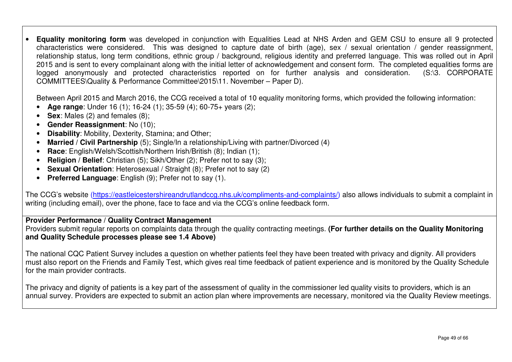• **Equality monitoring form** was developed in conjunction with Equalities Lead at NHS Arden and GEM CSU to ensure all 9 protected characteristics were considered. This was designed to capture date of birth (age), sex / sexual orientation / gender reassignment, relationship status, long term conditions, ethnic group / background, religious identity and preferred language. This was rolled out in April 2015 and is sent to every complainant along with the initial letter of acknowledgement and consent form. The completed equalities forms are (S:\3. CORPORATE logged anonymously and protected characteristics reported on for further analysis and consideration. COMMITTEES\Quality & Performance Committee\2015\11. November – Paper D).

Between April 2015 and March 2016, the CCG received a total of 10 equality monitoring forms, which provided the following information:

- •**Age range**: Under 16 (1); 16-24 (1); 35-59 (4); 60-75+ years (2);
- $\bullet$ **Sex:** Males (2) and females (8);
- $\bullet$ **Gender Reassignment**: No (10);
- •**Disability**: Mobility, Dexterity, Stamina; and Other;
- •**Married / Civil Partnership** (5); Single/In a relationship/Living with partner/Divorced (4)
- $\bullet$ **Race**: English/Welsh/Scottish/Northern Irish/British (8); Indian (1);
- •**Religion / Belief**: Christian (5); Sikh/Other (2); Prefer not to say (3);
- **Sexual Orientation**: Heterosexual / Straight (8); Prefer not to say (2)
- **Preferred Language**: English (9); Prefer not to say (1).

The CCG's website (https://eastleicestershireandrutlandccg.nhs.uk/compliments-and-complaints/) also allows individuals to submit a complaint in writing (including email), over the phone, face to face and via the CCG's online feedback form.

### **Provider Performance / Quality Contract Management**

 Providers submit regular reports on complaints data through the quality contracting meetings. **(For further details on the Quality Monitoring and Quality Schedule processes please see 1.4 Above)**

The national CQC Patient Survey includes a question on whether patients feel they have been treated with privacy and dignity. All providers must also report on the Friends and Family Test, which gives real time feedback of patient experience and is monitored by the Quality Schedule for the main provider contracts.

The privacy and dignity of patients is a key part of the assessment of quality in the commissioner led quality visits to providers, which is an annual survey. Providers are expected to submit an action plan where improvements are necessary, monitored via the Quality Review meetings.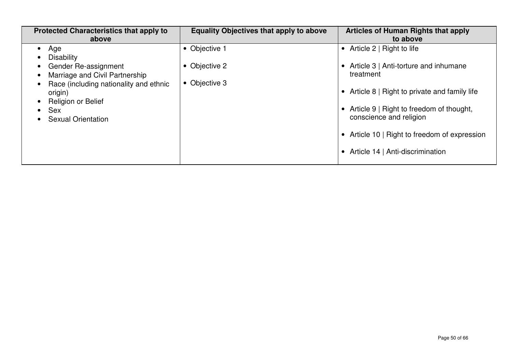| <b>Protected Characteristics that apply to</b><br>above                                                                                                                                                                      | <b>Equality Objectives that apply to above</b> | Articles of Human Rights that apply<br>to above                                                                                                                                                                                                                                                            |
|------------------------------------------------------------------------------------------------------------------------------------------------------------------------------------------------------------------------------|------------------------------------------------|------------------------------------------------------------------------------------------------------------------------------------------------------------------------------------------------------------------------------------------------------------------------------------------------------------|
| Age<br>$\bullet$<br><b>Disability</b><br><b>Gender Re-assignment</b><br>Marriage and Civil Partnership<br>Race (including nationality and ethnic<br>origin)<br>Religion or Belief<br><b>Sex</b><br><b>Sexual Orientation</b> | • Objective 1<br>• Objective 2<br>Objective 3  | Article 2   Right to life<br>$\bullet$<br>Article 3   Anti-torture and inhumane<br>treatment<br>• Article 8   Right to private and family life<br>Article 9   Right to freedom of thought,<br>conscience and religion<br>• Article 10   Right to freedom of expression<br>Article 14   Anti-discrimination |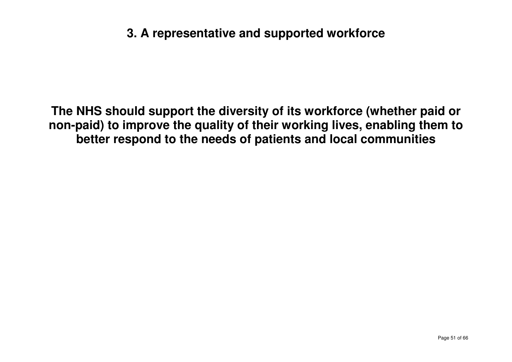# **3. A representative and supported workforce**

**The NHS should support the diversity of its workforce (whether paid or non-paid) to improve the quality of their working lives, enabling them to better respond to the needs of patients and local communities**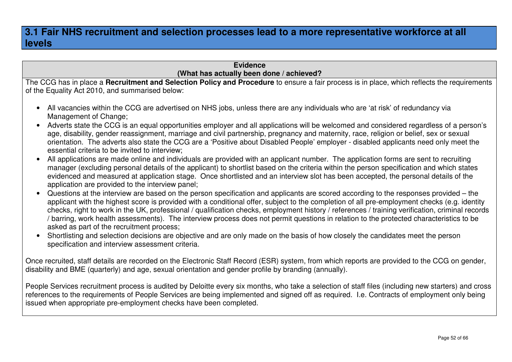### **3.1 Fair NHS recruitment and selection processes lead to a more representative workforce at all levels**

### **Evidence(What has actually been done / achieved?**

 The CCG has in place a **Recruitment and Selection Policy and Procedure** to ensure a fair process is in place, which reflects the requirements of the Equality Act 2010, and summarised below:

- All vacancies within the CCG are advertised on NHS jobs, unless there are any individuals who are 'at risk' of redundancy via Management of Change:
- Adverts state the CCG is an equal opportunities employer and all applications will be welcomed and considered regardless of a person's age, disability, gender reassignment, marriage and civil partnership, pregnancy and maternity, race, religion or belief, sex or sexual orientation. The adverts also state the CCG are a 'Positive about Disabled People' employer - disabled applicants need only meet the essential criteria to be invited to interview;
- All applications are made online and individuals are provided with an applicant number. The application forms are sent to recruiting manager (excluding personal details of the applicant) to shortlist based on the criteria within the person specification and which states evidenced and measured at application stage. Once shortlisted and an interview slot has been accepted, the personal details of the application are provided to the interview panel;
- Questions at the interview are based on the person specification and applicants are scored according to the responses provided the applicant with the highest score is provided with a conditional offer, subject to the completion of all pre-employment checks (e.g. identity checks, right to work in the UK, professional / qualification checks, employment history / references / training verification, criminal records / barring, work health assessments). The interview process does not permit questions in relation to the protected characteristics to be asked as part of the recruitment process;
- Shortlisting and selection decisions are objective and are only made on the basis of how closely the candidates meet the person specification and interview assessment criteria.

Once recruited, staff details are recorded on the Electronic Staff Record (ESR) system, from which reports are provided to the CCG on gender, disability and BME (quarterly) and age, sexual orientation and gender profile by branding (annually).

People Services recruitment process is audited by Deloitte every six months, who take a selection of staff files (including new starters) and cross references to the requirements of People Services are being implemented and signed off as required. I.e. Contracts of employment only being issued when appropriate pre-employment checks have been completed.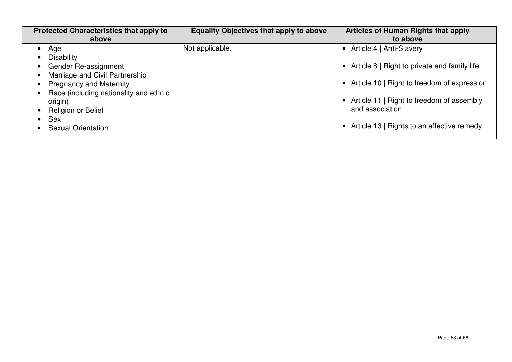| <b>Protected Characteristics that apply to</b><br>above                  | <b>Equality Objectives that apply to above</b> | <b>Articles of Human Rights that apply</b><br>to above                                       |
|--------------------------------------------------------------------------|------------------------------------------------|----------------------------------------------------------------------------------------------|
| Age<br>$\bullet$<br>Disability                                           | Not applicable.                                | • Article 4   Anti-Slavery                                                                   |
| Gender Re-assignment<br>Marriage and Civil Partnership                   |                                                | • Article 8   Right to private and family life                                               |
| <b>Pregnancy and Maternity</b><br>Race (including nationality and ethnic |                                                | • Article 10   Right to freedom of expression<br>• Article 11   Right to freedom of assembly |
| origin)<br><b>Religion or Belief</b><br>Sex                              |                                                | and association                                                                              |
| <b>Sexual Orientation</b>                                                |                                                | Article 13   Rights to an effective remedy                                                   |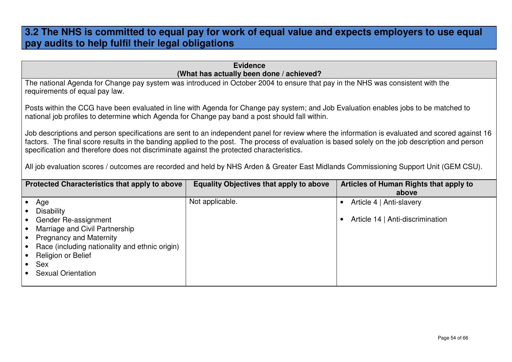### **3.2 The NHS is committed to equal pay for work of equal value and expects employers to use equal pay audits to help fulfil their legal obligations**

| <b>Evidence</b>                                                                                                                                                                                                                                                                                                                                                                                                                                                                                                                          |                                                                                                                                                                                                                                        |                                                                           |  |
|------------------------------------------------------------------------------------------------------------------------------------------------------------------------------------------------------------------------------------------------------------------------------------------------------------------------------------------------------------------------------------------------------------------------------------------------------------------------------------------------------------------------------------------|----------------------------------------------------------------------------------------------------------------------------------------------------------------------------------------------------------------------------------------|---------------------------------------------------------------------------|--|
| (What has actually been done / achieved?<br>The national Agenda for Change pay system was introduced in October 2004 to ensure that pay in the NHS was consistent with the<br>requirements of equal pay law.                                                                                                                                                                                                                                                                                                                             |                                                                                                                                                                                                                                        |                                                                           |  |
|                                                                                                                                                                                                                                                                                                                                                                                                                                                                                                                                          | Posts within the CCG have been evaluated in line with Agenda for Change pay system; and Job Evaluation enables jobs to be matched to<br>national job profiles to determine which Agenda for Change pay band a post should fall within. |                                                                           |  |
| Job descriptions and person specifications are sent to an independent panel for review where the information is evaluated and scored against 16<br>factors. The final score results in the banding applied to the post. The process of evaluation is based solely on the job description and person<br>specification and therefore does not discriminate against the protected characteristics.<br>All job evaluation scores / outcomes are recorded and held by NHS Arden & Greater East Midlands Commissioning Support Unit (GEM CSU). |                                                                                                                                                                                                                                        |                                                                           |  |
| Protected Characteristics that apply to above                                                                                                                                                                                                                                                                                                                                                                                                                                                                                            | <b>Equality Objectives that apply to above</b>                                                                                                                                                                                         | Articles of Human Rights that apply to<br>above                           |  |
| Age<br><b>Disability</b><br>Gender Re-assignment<br>Marriage and Civil Partnership<br><b>Pregnancy and Maternity</b><br>$\bullet$<br>Race (including nationality and ethnic origin)<br><b>Religion or Belief</b><br><b>Sex</b><br><b>Sexual Orientation</b>                                                                                                                                                                                                                                                                              | Not applicable.                                                                                                                                                                                                                        | Article 4   Anti-slavery<br>$\bullet$<br>Article 14   Anti-discrimination |  |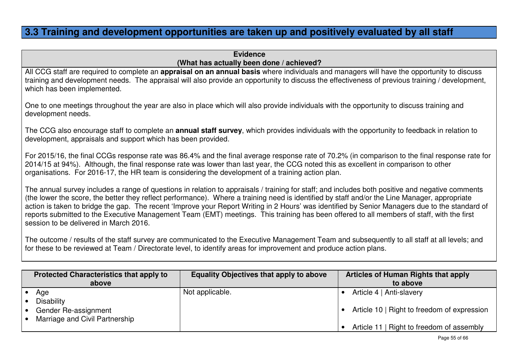### **3.3 Training and development opportunities are taken up and positively evaluated by all staff**

**Evidence(What has actually been done / achieved?** 

 All CCG staff are required to complete an **appraisal on an annual basis** where individuals and managers will have the opportunity to discuss training and development needs. The appraisal will also provide an opportunity to discuss the effectiveness of previous training / development, which has been implemented.

One to one meetings throughout the year are also in place which will also provide individuals with the opportunity to discuss training and development needs.

The CCG also encourage staff to complete an **annual staff survey**, which provides individuals with the opportunity to feedback in relation to development, appraisals and support which has been provided.

For 2015/16, the final CCGs response rate was 86.4% and the final average response rate of 70.2% (in comparison to the final response rate for 2014/15 at 94%). Although, the final response rate was lower than last year, the CCG noted this as excellent in comparison to other organisations. For 2016-17, the HR team is considering the development of a training action plan.

The annual survey includes a range of questions in relation to appraisals / training for staff; and includes both positive and negative comments (the lower the score, the better they reflect performance). Where a training need is identified by staff and/or the Line Manager, appropriate action is taken to bridge the gap. The recent 'Improve your Report Writing in 2 Hours' was identified by Senior Managers due to the standard of reports submitted to the Executive Management Team (EMT) meetings. This training has been offered to all members of staff, with the first session to be delivered in March 2016.

The outcome / results of the staff survey are communicated to the Executive Management Team and subsequently to all staff at all levels; and for these to be reviewed at Team / Directorate level, to identify areas for improvement and produce action plans.

| <b>Protected Characteristics that apply to</b><br>above | <b>Equality Objectives that apply to above</b> | Articles of Human Rights that apply<br>to above |
|---------------------------------------------------------|------------------------------------------------|-------------------------------------------------|
| Age                                                     | Not applicable.                                | Article 4   Anti-slavery                        |
| <b>Disability</b>                                       |                                                |                                                 |
| Gender Re-assignment                                    |                                                | Article 10   Right to freedom of expression     |
| Marriage and Civil Partnership                          |                                                |                                                 |
|                                                         |                                                | Article 11   Right to freedom of assembly       |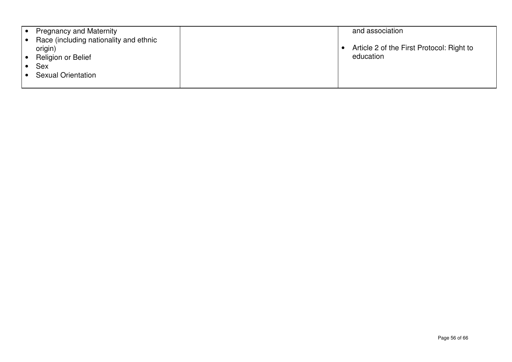| <b>Pregnancy and Maternity</b>                    |  | and association                           |
|---------------------------------------------------|--|-------------------------------------------|
| Race (including nationality and ethnic<br>origin) |  | Article 2 of the First Protocol: Right to |
| <b>Religion or Belief</b>                         |  | education                                 |
| <b>Sex</b>                                        |  |                                           |
| <b>Sexual Orientation</b>                         |  |                                           |
|                                                   |  |                                           |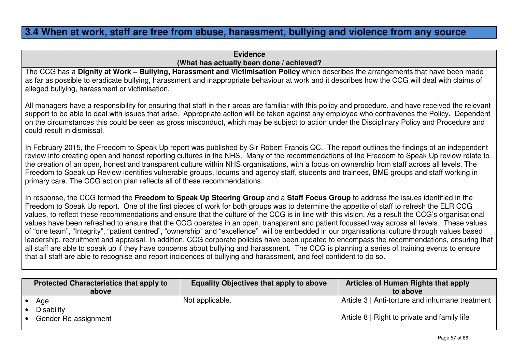### **3.4 When at work, staff are free from abuse, harassment, bullying and violence from any source**

### **Evidence(What has actually been done / achieved?**

 The CCG has a **Dignity at Work – Bullying, Harassment and Victimisation Policy** which describes the arrangements that have been made as far as possible to eradicate bullying, harassment and inappropriate behaviour at work and it describes how the CCG will deal with claims of alleged bullying, harassment or victimisation.

All managers have a responsibility for ensuring that staff in their areas are familiar with this policy and procedure, and have received the relevant support to be able to deal with issues that arise. Appropriate action will be taken against any employee who contravenes the Policy. Dependent on the circumstances this could be seen as gross misconduct, which may be subject to action under the Disciplinary Policy and Procedure and could result in dismissal.

In February 2015, the Freedom to Speak Up report was published by Sir Robert Francis QC. The report outlines the findings of an independent review into creating open and honest reporting cultures in the NHS. Many of the recommendations of the Freedom to Speak Up review relate to the creation of an open, honest and transparent culture within NHS organisations, with a focus on ownership from staff across all levels. The Freedom to Speak up Review identifies vulnerable groups, locums and agency staff, students and trainees, BME groups and staff working in primary care. The CCG action plan reflects all of these recommendations.

In response, the CCG formed the **Freedom to Speak Up Steering Group** and a **Staff Focus Group** to address the issues identified in the Freedom to Speak Up report. One of the first pieces of work for both groups was to determine the appetite of staff to refresh the ELR CCG values, to reflect these recommendations and ensure that the culture of the CCG is in line with this vision. As a result the CCG's organisational values have been refreshed to ensure that the CCG operates in an open, transparent and patient focussed way across all levels. These values of "one team", "Integrity", "patient centred", "ownership" and "excellence" will be embedded in our organisational culture through values based leadership, recruitment and appraisal. In addition, CCG corporate policies have been updated to encompass the recommendations, ensuring that all staff are able to speak up if they have concerns about bullying and harassment. The CCG is planning a series of training events to ensure that all staff are able to recognise and report incidences of bullying and harassment, and feel confident to do so.

| <b>Protected Characteristics that apply to</b><br>above | <b>Equality Objectives that apply to above</b> | Articles of Human Rights that apply<br>to above |
|---------------------------------------------------------|------------------------------------------------|-------------------------------------------------|
| Age<br><b>Disability</b>                                | Not applicable.                                | Article 3   Anti-torture and inhumane treatment |
| Gender Re-assignment                                    |                                                | Article 8   Right to private and family life    |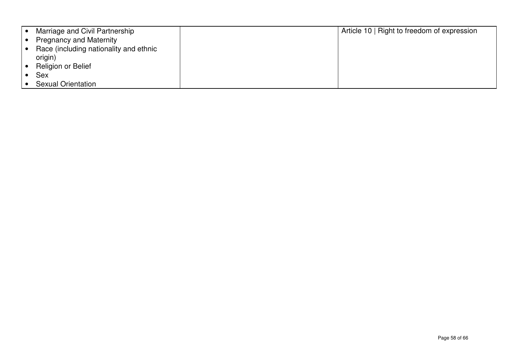| Marriage and Civil Partnership         | Article 10   Right to freedom of expression |  |
|----------------------------------------|---------------------------------------------|--|
| <b>Pregnancy and Maternity</b>         |                                             |  |
| Race (including nationality and ethnic |                                             |  |
| origin)                                |                                             |  |
| Religion or Belief                     |                                             |  |
| <b>Sex</b>                             |                                             |  |
| <b>Sexual Orientation</b>              |                                             |  |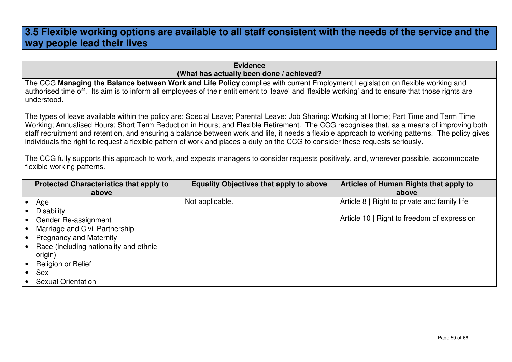### **3.5 Flexible working options are available to all staff consistent with the needs of the service and the way people lead their lives**

**Evidence(What has actually been done / achieved?** 

 The CCG **Managing the Balance between Work and Life Policy** complies with current Employment Legislation on flexible working and authorised time off. Its aim is to inform all employees of their entitlement to 'leave' and 'flexible working' and to ensure that those rights are understood.

The types of leave available within the policy are: Special Leave; Parental Leave; Job Sharing; Working at Home; Part Time and Term Time Working; Annualised Hours; Short Term Reduction in Hours; and Flexible Retirement. The CCG recognises that, as a means of improving both staff recruitment and retention, and ensuring a balance between work and life, it needs a flexible approach to working patterns. The policy gives individuals the right to request a flexible pattern of work and places a duty on the CCG to consider these requests seriously.

The CCG fully supports this approach to work, and expects managers to consider requests positively, and, wherever possible, accommodate flexible working patterns.

| <b>Protected Characteristics that apply to</b> | <b>Equality Objectives that apply to above</b> | <b>Articles of Human Rights that apply to</b> |
|------------------------------------------------|------------------------------------------------|-----------------------------------------------|
| above                                          |                                                | above                                         |
| Age                                            | Not applicable.                                | Article 8   Right to private and family life  |
| <b>Disability</b>                              |                                                |                                               |
| Gender Re-assignment                           |                                                | Article 10   Right to freedom of expression   |
| Marriage and Civil Partnership                 |                                                |                                               |
| <b>Pregnancy and Maternity</b>                 |                                                |                                               |
| Race (including nationality and ethnic         |                                                |                                               |
| origin)                                        |                                                |                                               |
| <b>Religion or Belief</b>                      |                                                |                                               |
| <b>Sex</b>                                     |                                                |                                               |
| <b>Sexual Orientation</b>                      |                                                |                                               |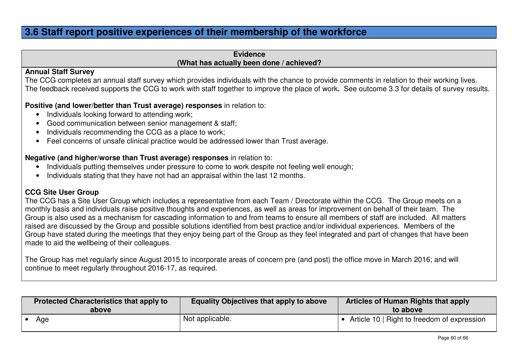### **3.6 Staff report positive experiences of their membership of the workforce**

#### **Evidence(What has actually been done / achieved?**

#### **Annual Staff Survey**

 The CCG completes an annual staff survey which provides individuals with the chance to provide comments in relation to their working lives. The feedback received supports the CCG to work with staff together to improve the place of work**.** See outcome 3.3 for details of survey results.

#### **Positive (and lower/better than Trust average) responses** in relation to:

- Individuals looking forward to attending work;
- Good communication between senior management & staff;
- Individuals recommending the CCG as a place to work;
- Feel concerns of unsafe clinical practice would be addressed lower than Trust average.

### **Negative (and higher/worse than Trust average) responses** in relation to:

- Individuals putting themselves under pressure to come to work despite not feeling well enough;
- Individuals stating that they have not had an appraisal within the last 12 months.

#### **CCG Site User Group**

 The CCG has a Site User Group which includes a representative from each Team / Directorate within the CCG. The Group meets on a monthly basis and individuals raise positive thoughts and experiences, as well as areas for improvement on behalf of their team. The Group is also used as a mechanism for cascading information to and from teams to ensure all members of staff are included. All matters raised are discussed by the Group and possible solutions identified from best practice and/or individual experiences. Members of the Group have stated during the meetings that they enjoy being part of the Group as they feel integrated and part of changes that have been made to aid the wellbeing of their colleagues.

The Group has met regularly since August 2015 to incorporate areas of concern pre (and post) the office move in March 2016; and will continue to meet regularly throughout 2016-17, as required.

| <b>Protected Characteristics that apply to</b><br>above | <b>Equality Objectives that apply to above</b> | Articles of Human Rights that apply<br>to above |
|---------------------------------------------------------|------------------------------------------------|-------------------------------------------------|
| Age                                                     | Not applicable.                                | Article 10   Right to freedom of expression     |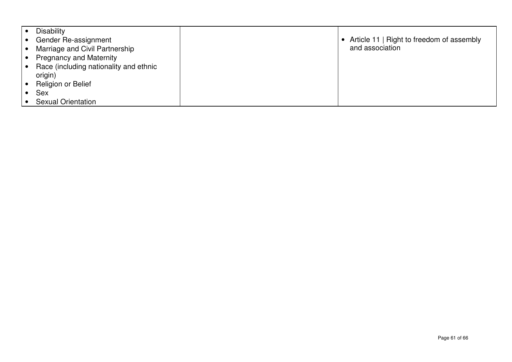| <b>Disability</b>                      |                                           |
|----------------------------------------|-------------------------------------------|
| Gender Re-assignment                   | Article 11   Right to freedom of assembly |
| Marriage and Civil Partnership         | and association                           |
| <b>Pregnancy and Maternity</b>         |                                           |
| Race (including nationality and ethnic |                                           |
| origin)                                |                                           |
| Religion or Belief                     |                                           |
| <b>Sex</b>                             |                                           |
| <b>Sexual Orientation</b>              |                                           |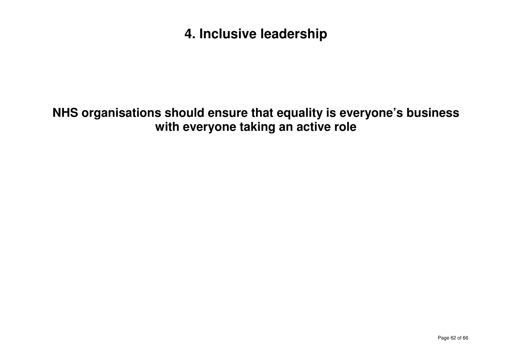# **4. Inclusive leadership**

# **NHS organisations should ensure that equality is everyone's business with everyone taking an active role**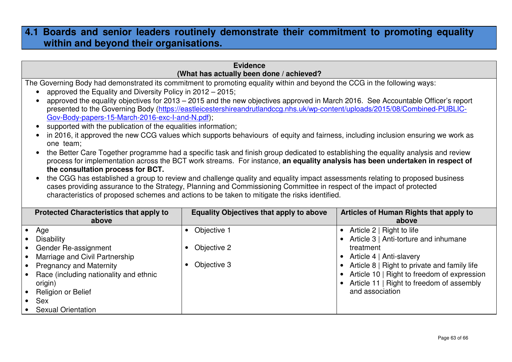### **4.1 Boards and senior leaders routinely demonstrate their commitment to promoting equality within and beyond their organisations.**

| <b>Evidence</b><br>(What has actually been done / achieved?                                                                                                                                                                                                                                                                                                                                                                                                                                                                                                                                                                                                                                                                                                                                                                                                                                                                                                                                                                                                                                                                                                                                                                                                                                                                                                                                            |                                                                                  |                                                                                                                                                                                                                                                                                  |  |  |
|--------------------------------------------------------------------------------------------------------------------------------------------------------------------------------------------------------------------------------------------------------------------------------------------------------------------------------------------------------------------------------------------------------------------------------------------------------------------------------------------------------------------------------------------------------------------------------------------------------------------------------------------------------------------------------------------------------------------------------------------------------------------------------------------------------------------------------------------------------------------------------------------------------------------------------------------------------------------------------------------------------------------------------------------------------------------------------------------------------------------------------------------------------------------------------------------------------------------------------------------------------------------------------------------------------------------------------------------------------------------------------------------------------|----------------------------------------------------------------------------------|----------------------------------------------------------------------------------------------------------------------------------------------------------------------------------------------------------------------------------------------------------------------------------|--|--|
| The Governing Body had demonstrated its commitment to promoting equality within and beyond the CCG in the following ways:<br>approved the Equality and Diversity Policy in 2012 – 2015;<br>approved the equality objectives for 2013 - 2015 and the new objectives approved in March 2016. See Accountable Officer's report<br>presented to the Governing Body (https://eastleicestershireandrutlandccg.nhs.uk/wp-content/uploads/2015/08/Combined-PUBLIC-<br>Gov-Body-papers-15-March-2016-exc-l-and-N.pdf);<br>supported with the publication of the equalities information;<br>in 2016, it approved the new CCG values which supports behaviours of equity and fairness, including inclusion ensuring we work as<br>one team;<br>the Better Care Together programme had a specific task and finish group dedicated to establishing the equality analysis and review<br>process for implementation across the BCT work streams. For instance, an equality analysis has been undertaken in respect of<br>the consultation process for BCT.<br>the CGG has established a group to review and challenge quality and equality impact assessments relating to proposed business<br>cases providing assurance to the Strategy, Planning and Commissioning Committee in respect of the impact of protected<br>characteristics of proposed schemes and actions to be taken to mitigate the risks identified. |                                                                                  |                                                                                                                                                                                                                                                                                  |  |  |
| <b>Protected Characteristics that apply to</b><br>above                                                                                                                                                                                                                                                                                                                                                                                                                                                                                                                                                                                                                                                                                                                                                                                                                                                                                                                                                                                                                                                                                                                                                                                                                                                                                                                                                | <b>Equality Objectives that apply to above</b>                                   | Articles of Human Rights that apply to<br>above                                                                                                                                                                                                                                  |  |  |
| Age<br>$\bullet$<br><b>Disability</b><br>Gender Re-assignment<br>Marriage and Civil Partnership<br>$\bullet$<br><b>Pregnancy and Maternity</b><br>$\bullet$<br>Race (including nationality and ethnic<br>$\bullet$<br>origin)<br>Religion or Belief<br>Sex<br><b>Sexual Orientation</b>                                                                                                                                                                                                                                                                                                                                                                                                                                                                                                                                                                                                                                                                                                                                                                                                                                                                                                                                                                                                                                                                                                                | Objective 1<br>$\bullet$<br>Objective 2<br>$\bullet$<br>Objective 3<br>$\bullet$ | • Article 2   Right to life<br>• Article 3   Anti-torture and inhumane<br>treatment<br>• Article 4   Anti-slavery<br>Article 8   Right to private and family life<br>Article 10   Right to freedom of expression<br>Article 11   Right to freedom of assembly<br>and association |  |  |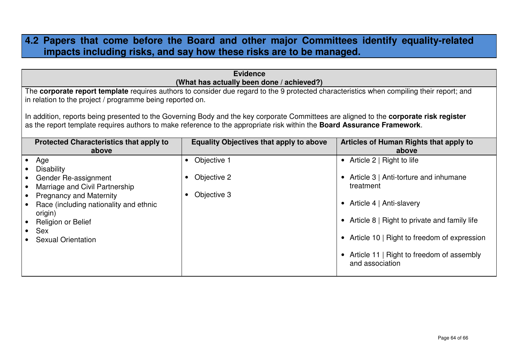### **4.2 Papers that come before the Board and other major Committees identify equality-related impacts including risks, and say how these risks are to be managed.**

| <b>Evidence</b><br>(What has actually been done / achieved?)                                                                                                                                                                                                                                                                                                                                                                                                                        |                                                |                                                                                                                                                                                                                                                                                           |  |  |  |
|-------------------------------------------------------------------------------------------------------------------------------------------------------------------------------------------------------------------------------------------------------------------------------------------------------------------------------------------------------------------------------------------------------------------------------------------------------------------------------------|------------------------------------------------|-------------------------------------------------------------------------------------------------------------------------------------------------------------------------------------------------------------------------------------------------------------------------------------------|--|--|--|
| The corporate report template requires authors to consider due regard to the 9 protected characteristics when compiling their report; and<br>in relation to the project / programme being reported on.<br>In addition, reports being presented to the Governing Body and the key corporate Committees are aligned to the corporate risk register<br>as the report template requires authors to make reference to the appropriate risk within the <b>Board Assurance Framework</b> . |                                                |                                                                                                                                                                                                                                                                                           |  |  |  |
| <b>Protected Characteristics that apply to</b><br>above                                                                                                                                                                                                                                                                                                                                                                                                                             | <b>Equality Objectives that apply to above</b> | Articles of Human Rights that apply to<br>above                                                                                                                                                                                                                                           |  |  |  |
| Age<br><b>Disability</b><br>Gender Re-assignment<br>Marriage and Civil Partnership<br><b>Pregnancy and Maternity</b><br>Race (including nationality and ethnic<br>origin)<br>Religion or Belief<br>Sex<br><b>Sexual Orientation</b>                                                                                                                                                                                                                                                 | Objective 1<br>Objective 2<br>Objective 3      | • Article $2 \mid$ Right to life<br>Article 3   Anti-torture and inhumane<br>treatment<br>• Article 4   Anti-slavery<br>• Article 8   Right to private and family life<br>• Article 10   Right to freedom of expression<br>• Article 11   Right to freedom of assembly<br>and association |  |  |  |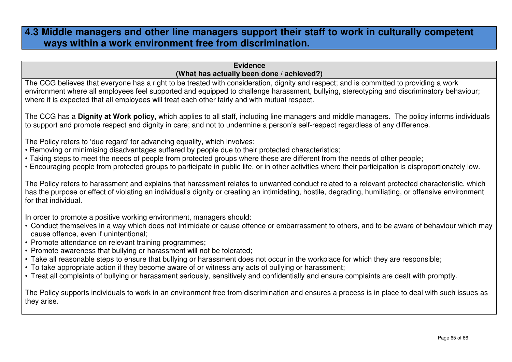### **4.3 Middle managers and other line managers support their staff to work in culturally competent ways within a work environment free from discrimination.**

#### **Evidence(What has actually been done / achieved?)**

 The CCG believes that everyone has a right to be treated with consideration, dignity and respect; and is committed to providing a work environment where all employees feel supported and equipped to challenge harassment, bullying, stereotyping and discriminatory behaviour; where it is expected that all employees will treat each other fairly and with mutual respect.

The CCG has a **Dignity at Work policy,** which applies to all staff, including line managers and middle managers. The policy informs individuals to support and promote respect and dignity in care; and not to undermine a person's self-respect regardless of any difference.

The Policy refers to 'due regard' for advancing equality, which involves:

- Removing or minimising disadvantages suffered by people due to their protected characteristics;
- Taking steps to meet the needs of people from protected groups where these are different from the needs of other people;
- Encouraging people from protected groups to participate in public life, or in other activities where their participation is disproportionately low.

The Policy refers to harassment and explains that harassment relates to unwanted conduct related to a relevant protected characteristic, which has the purpose or effect of violating an individual's dignity or creating an intimidating, hostile, degrading, humiliating, or offensive environment for that individual.

In order to promote a positive working environment, managers should:

- Conduct themselves in a way which does not intimidate or cause offence or embarrassment to others, and to be aware of behaviour which may cause offence, even if unintentional;
- Promote attendance on relevant training programmes;
- Promote awareness that bullying or harassment will not be tolerated;
- Take all reasonable steps to ensure that bullying or harassment does not occur in the workplace for which they are responsible;
- To take appropriate action if they become aware of or witness any acts of bullying or harassment;
- Treat all complaints of bullying or harassment seriously, sensitively and confidentially and ensure complaints are dealt with promptly.

The Policy supports individuals to work in an environment free from discrimination and ensures a process is in place to deal with such issues as they arise.